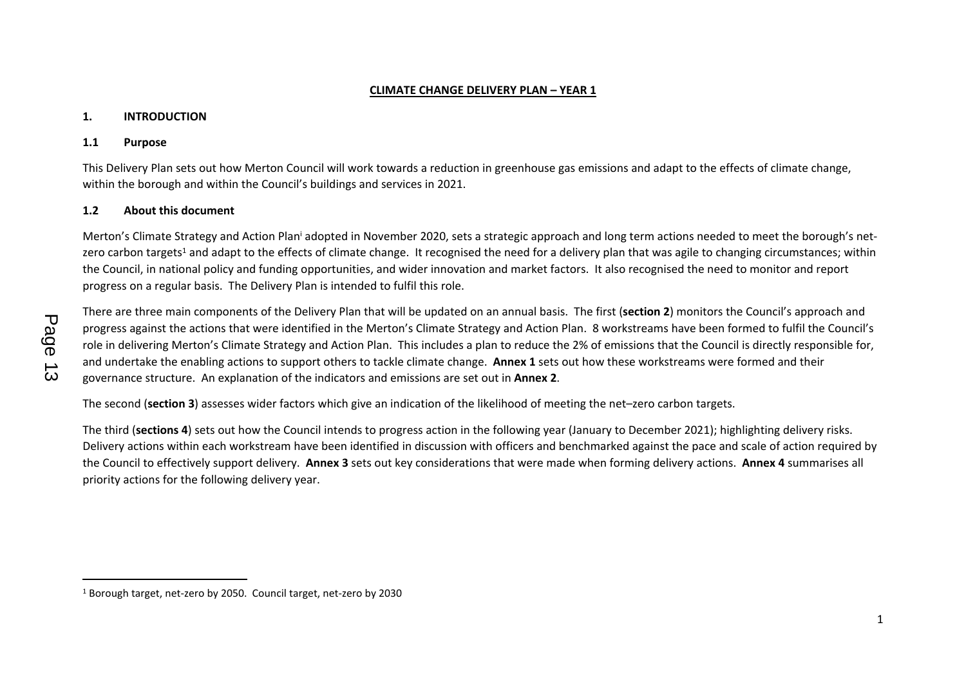#### **CLIMATE CHANGE DELIVERY PLAN – YEAR 1**

#### **1. INTRODUCTION**

#### **1.1 Purpose**

This Delivery Plan sets out how Merton Council will work towards a reduction in greenhouse gas emissions and adapt to the effects of climate change, within the borough and within the Council's buildings and services in 2021.

## **1.2 About this document**

Merton's Climate Strategy and Action Plan<sup>i</sup> adopted in November 2020, sets a strategic approach and long term actions needed to meet the borough's netzero carbon targets<sup>1</sup> and adapt to the effects of climate change. It recognised the need for a delivery plan that was agile to changing circumstances; within the Council, in national policy and funding opportunities, and wider innovation and market factors. It also recognised the need to monitor and report progress on a regular basis. The Delivery Plan is intended to fulfil this role.

There are three main components of the Delivery Plan that will be updated on an annual basis. The first (**section 2**) monitors the Council's approach and progress against the actions that were identified in the Merton's Climate Strategy and Action Plan. 8 workstreams have been formed to fulfil the Council's role in delivering Merton's Climate Strategy and Action Plan. This includes a plan to reduce the 2% of emissions that the Council is directly responsible for, and undertake the enabling actions to support others to tackle climate change. **Annex 1** sets out how these workstreams were formed and their governance structure. An explanation of the indicators and emissions are set out in **Annex 2**.

The second (**section 3**) assesses wider factors which give an indication of the likelihood of meeting the net–zero carbon targets.

The third (**sections 4**) sets out how the Council intends to progress action in the following year (January to December 2021); highlighting delivery risks. Delivery actions within each workstream have been identified in discussion with officers and benchmarked against the pace and scale of action required by the Council to effectively support delivery. **Annex 3** sets out key considerations that were made when forming delivery actions. **Annex 4** summarises all priority actions for the following delivery year.

<sup>1</sup> Borough target, net-zero by 2050. Council target, net-zero by 2030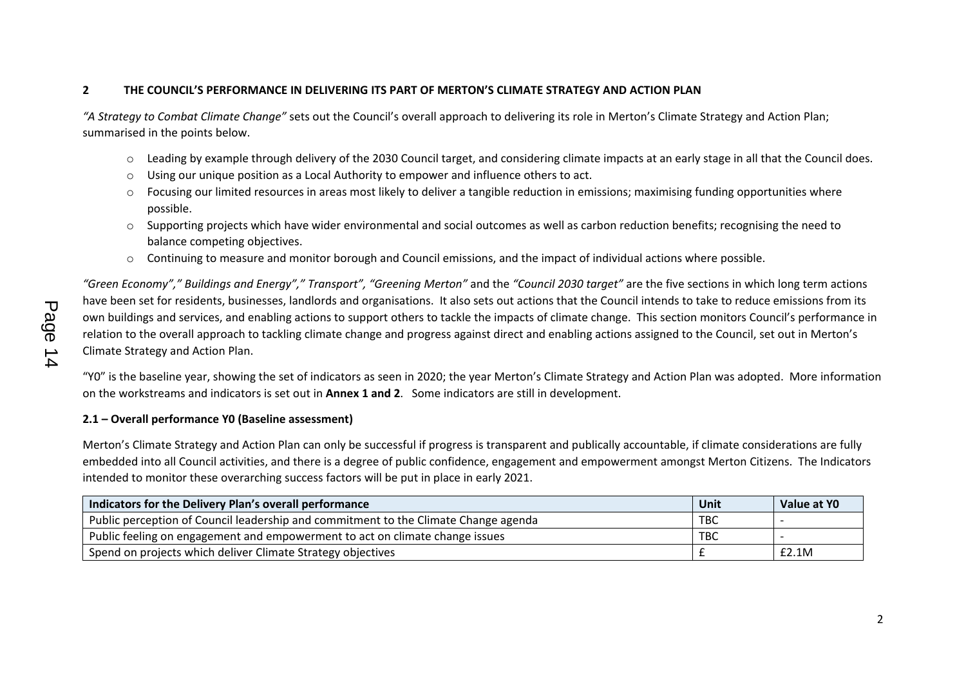# **2 THE COUNCIL'S PERFORMANCE IN DELIVERING ITS PART OF MERTON'S CLIMATE STRATEGY AND ACTION PLAN**

*"A Strategy to Combat Climate Change"* sets out the Council's overall approach to delivering its role in Merton's Climate Strategy and Action Plan; summarised in the points below.

- o Leading by example through delivery of the 2030 Council target, and considering climate impacts at an early stage in all that the Council does.
- $\circ$  Using our unique position as a Local Authority to empower and influence others to act.
- $\circ$  Focusing our limited resources in areas most likely to deliver a tangible reduction in emissions; maximising funding opportunities where possible.
- $\circ$  Supporting projects which have wider environmental and social outcomes as well as carbon reduction benefits; recognising the need to balance competing objectives.
- $\circ$  Continuing to measure and monitor borough and Council emissions, and the impact of individual actions where possible.

"Green Economy"," Buildings and Energy"," Transport", "Greening Merton" and the "Council 2030 target" are the five sections in which long term actions have been set for residents, businesses, landlords and organisations. It also sets out actions that the Council intends to take to reduce emissions from its own buildings and services, and enabling actions to support others to tackle the impacts of climate change. This section monitors Council's performance in relation to the overall approach to tackling climate change and progress against direct and enabling actions assigned to the Council, set out in Merton's Climate Strategy and Action Plan.

"Y0" is the baseline year, showing the set of indicators as seen in 2020; the year Merton's Climate Strategy and Action Plan was adopted. More information on the workstreams and indicators is set out in **Annex 1 and 2**. Some indicators are still in development.

#### **2.1 – Overall performance Y0 (Baseline assessment)**

Merton's Climate Strategy and Action Plan can only be successful if progress is transparent and publically accountable, if climate considerations are fully embedded into all Council activities, and there is a degree of public confidence, engagement and empowerment amongst Merton Citizens. The Indicators intended to monitor these overarching success factors will be put in place in early 2021.

| Indicators for the Delivery Plan's overall performance                              | Unit       | Value at YO |
|-------------------------------------------------------------------------------------|------------|-------------|
| Public perception of Council leadership and commitment to the Climate Change agenda | <b>TBC</b> |             |
| Public feeling on engagement and empowerment to act on climate change issues        | <b>TBC</b> |             |
| Spend on projects which deliver Climate Strategy objectives                         |            | E2.1M       |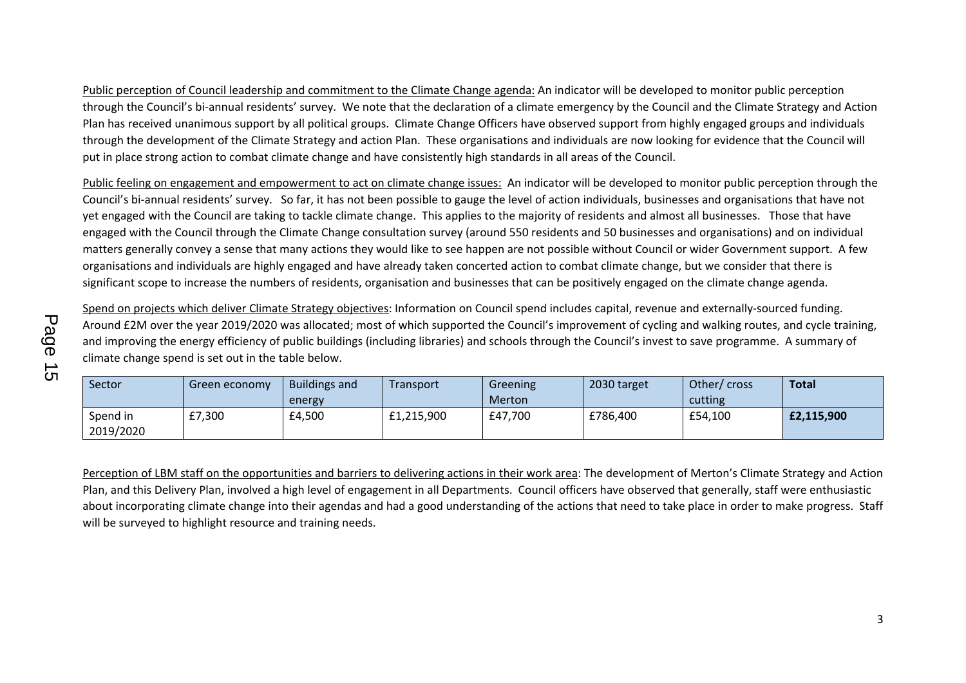Public perception of Council leadership and commitment to the Climate Change agenda: An indicator will be developed to monitor public perception through the Council's bi-annual residents' survey. We note that the declaration of a climate emergency by the Council and the Climate Strategy and Action Plan has received unanimous support by all political groups. Climate Change Officers have observed support from highly engaged groups and individuals through the development of the Climate Strategy and action Plan. These organisations and individuals are now looking for evidence that the Council will put in place strong action to combat climate change and have consistently high standards in all areas of the Council.

Public feeling on engagement and empowerment to act on climate change issues: An indicator will be developed to monitor public perception through the Council's bi-annual residents' survey. So far, it has not been possible to gauge the level of action individuals, businesses and organisations that have not yet engaged with the Council are taking to tackle climate change. This applies to the majority of residents and almost all businesses. Those that have engaged with the Council through the Climate Change consultation survey (around 550 residents and 50 businesses and organisations) and on individual matters generally convey a sense that many actions they would like to see happen are not possible without Council or wider Government support. A few organisations and individuals are highly engaged and have already taken concerted action to combat climate change, but we consider that there is significant scope to increase the numbers of residents, organisation and businesses that can be positively engaged on the climate change agenda.

Spend on projects which deliver Climate Strategy objectives: Information on Council spend includes capital, revenue and externally-sourced funding. Around £2M over the year 2019/2020 was allocated; most of which supported the Council's improvement of cycling and walking routes, and cycle training, and improving the energy efficiency of public buildings (including libraries) and schools through the Council's invest to save programme. A summary of climate change spend is set out in the table below.

| Sector                | Green economy | <b>Buildings and</b><br>energy | Transport  | Greening<br><b>Merton</b> | 2030 target | Other/cross<br>cutting | <b>Total</b> |
|-----------------------|---------------|--------------------------------|------------|---------------------------|-------------|------------------------|--------------|
| Spend in<br>2019/2020 | £7,300        | £4,500                         | £1,215,900 | £47,700                   | £786,400    | £54,100                | £2,115,900   |

Perception of LBM staff on the opportunities and barriers to delivering actions in their work area: The development of Merton's Climate Strategy and Action Plan, and this Delivery Plan, involved a high level of engagement in all Departments. Council officers have observed that generally, staff were enthusiastic about incorporating climate change into their agendas and had a good understanding of the actions that need to take place in order to make progress. Staff will be surveyed to highlight resource and training needs.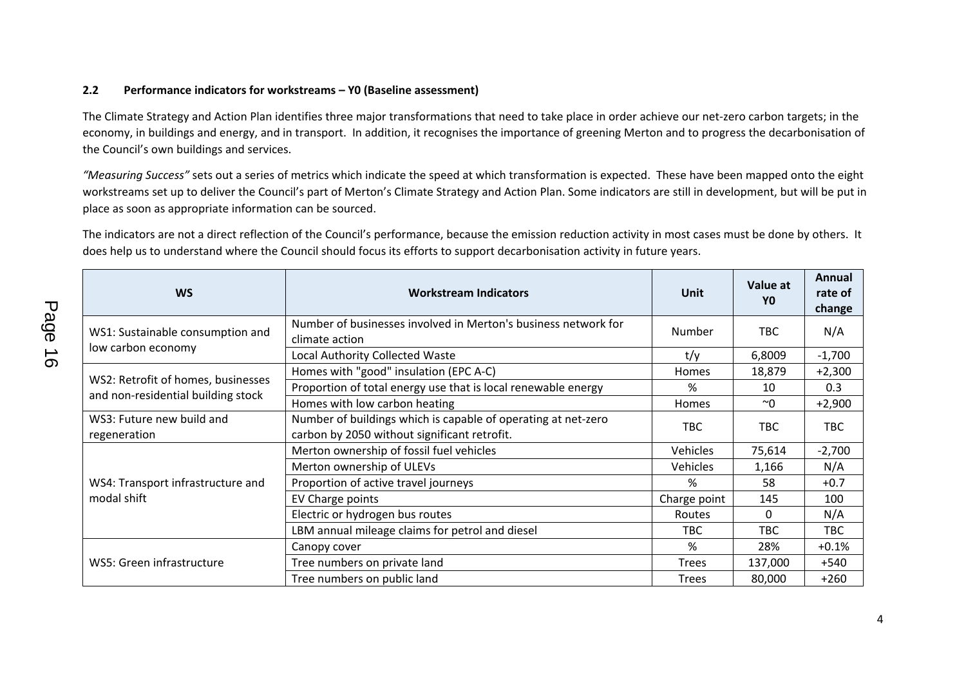## **2.2 Performance indicators for workstreams – Y0 (Baseline assessment)**

The Climate Strategy and Action Plan identifies three major transformations that need to take place in order achieve our net-zero carbon targets; in the economy, in buildings and energy, and in transport. In addition, it recognises the importance of greening Merton and to progress the decarbonisation of the Council's own buildings and services.

*"Measuring Success"* sets out a series of metrics which indicate the speed at which transformation is expected. These have been mapped onto the eight workstreams set up to deliver the Council's part of Merton's Climate Strategy and Action Plan. Some indicators are still in development, but will be put in place as soon as appropriate information can be sourced.

The indicators are not a direct reflection of the Council's performance, because the emission reduction activity in most cases must be done by others. It does help us to understand where the Council should focus its efforts to support decarbonisation activity in future years.

| <b>WS</b>                                                                | <b>Workstream Indicators</b>                                                                                  | Unit         | Value at<br>Y0 | Annual<br>rate of<br>change |
|--------------------------------------------------------------------------|---------------------------------------------------------------------------------------------------------------|--------------|----------------|-----------------------------|
| WS1: Sustainable consumption and                                         | Number of businesses involved in Merton's business network for<br>climate action                              | Number       | TBC            | N/A                         |
| low carbon economy                                                       | <b>Local Authority Collected Waste</b>                                                                        | t/y          | 6,8009         | $-1,700$                    |
|                                                                          | Homes with "good" insulation (EPC A-C)                                                                        | <b>Homes</b> | 18,879         | $+2,300$                    |
| WS2: Retrofit of homes, businesses<br>and non-residential building stock | Proportion of total energy use that is local renewable energy                                                 | %            | 10             | 0.3                         |
|                                                                          | Homes with low carbon heating                                                                                 | Homes        | $~\sim 0$      | $+2,900$                    |
| WS3: Future new build and<br>regeneration                                | Number of buildings which is capable of operating at net-zero<br>carbon by 2050 without significant retrofit. | TBC          | <b>TBC</b>     | <b>TBC</b>                  |
|                                                                          | Merton ownership of fossil fuel vehicles                                                                      | Vehicles     | 75,614         | $-2,700$                    |
|                                                                          | Merton ownership of ULEVs                                                                                     | Vehicles     | 1,166          | N/A                         |
| WS4: Transport infrastructure and                                        | Proportion of active travel journeys                                                                          | %            | 58             | $+0.7$                      |
| modal shift                                                              | EV Charge points                                                                                              | Charge point | 145            | 100                         |
|                                                                          | Electric or hydrogen bus routes                                                                               | Routes       | 0              | N/A                         |
|                                                                          | LBM annual mileage claims for petrol and diesel                                                               | <b>TBC</b>   | <b>TBC</b>     | <b>TBC</b>                  |
|                                                                          | Canopy cover                                                                                                  | %            | 28%            | $+0.1\%$                    |
| WS5: Green infrastructure                                                | Tree numbers on private land                                                                                  | <b>Trees</b> | 137,000        | +540                        |
|                                                                          | Tree numbers on public land                                                                                   | <b>Trees</b> | 80,000         | $+260$                      |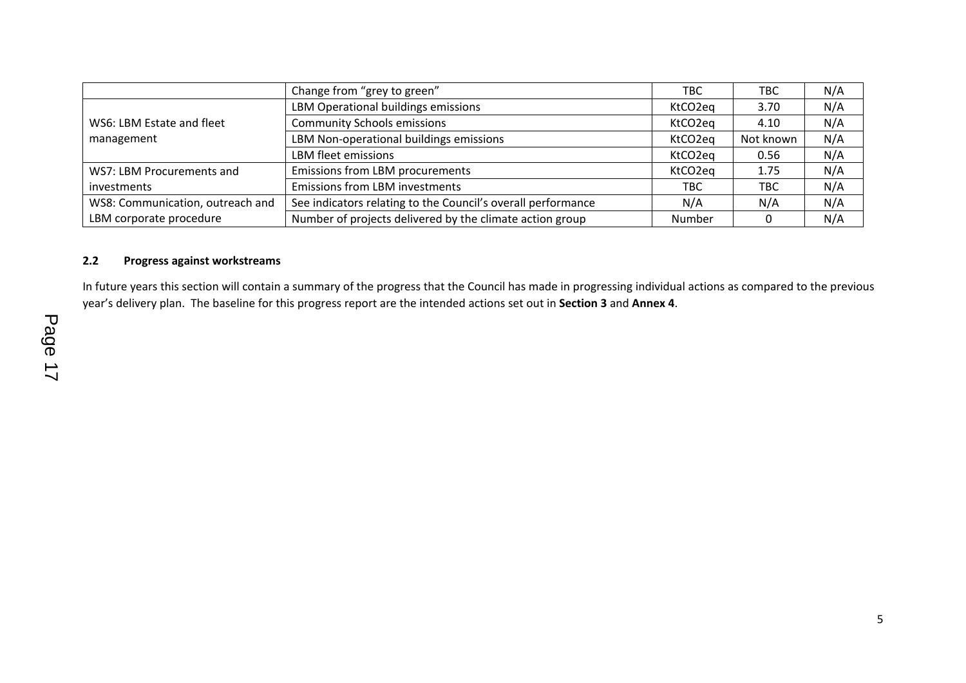|                                  | Change from "grey to green"                                  | TBC     | TBC.      | N/A |
|----------------------------------|--------------------------------------------------------------|---------|-----------|-----|
|                                  | LBM Operational buildings emissions                          | KtCO2eg | 3.70      | N/A |
| WS6: LBM Estate and fleet        | <b>Community Schools emissions</b>                           | KtCO2eg | 4.10      | N/A |
| management                       | LBM Non-operational buildings emissions                      | KtCO2eg | Not known | N/A |
|                                  | LBM fleet emissions                                          | KtCO2eg | 0.56      | N/A |
| WS7: LBM Procurements and        | Emissions from LBM procurements                              | KtCO2eg | 1.75      | N/A |
| <i>investments</i>               | <b>Emissions from LBM investments</b>                        | TBC.    | TBC       | N/A |
| WS8: Communication, outreach and | See indicators relating to the Council's overall performance | N/A     | N/A       | N/A |
| LBM corporate procedure          | Number of projects delivered by the climate action group     | Number  | 0         | N/A |

## **2.2 Progress against workstreams**

In future years this section will contain a summary of the progress that the Council has made in progressing individual actions as compared to the previous year's delivery plan. The baseline for this progress report are the intended actions set out in **Section 3** and **Annex 4**.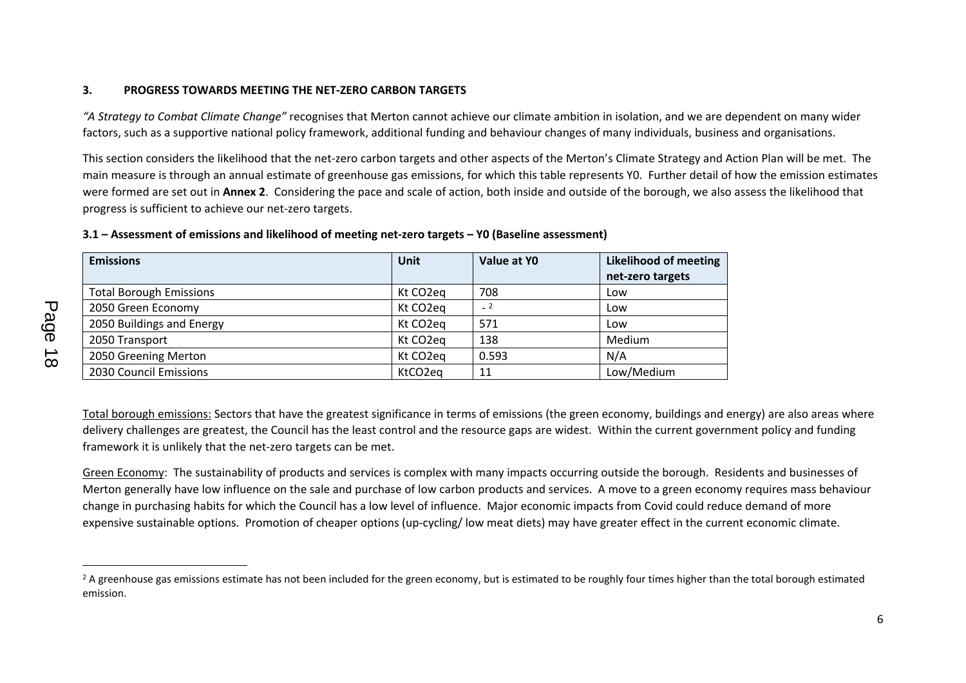## **3. PROGRESS TOWARDS MEETING THE NET-ZERO CARBON TARGETS**

*"A Strategy to Combat Climate Change"* recognises that Merton cannot achieve our climate ambition in isolation, and we are dependent on many wider factors, such as a supportive national policy framework, additional funding and behaviour changes of many individuals, business and organisations.

This section considers the likelihood that the net-zero carbon targets and other aspects of the Merton's Climate Strategy and Action Plan will be met. The main measure is through an annual estimate of greenhouse gas emissions, for which this table represents Y0. Further detail of how the emission estimates were formed are set out in **Annex 2**. Considering the pace and scale of action, both inside and outside of the borough, we also assess the likelihood that progress is sufficient to achieve our net-zero targets.

| <b>Emissions</b>               | <b>Unit</b>           | Value at YO | Likelihood of meeting |
|--------------------------------|-----------------------|-------------|-----------------------|
|                                |                       |             | net-zero targets      |
| <b>Total Borough Emissions</b> | Kt CO2eg              | 708         | Low                   |
| 2050 Green Economy             | Kt CO <sub>2</sub> eq |             | Low                   |
| 2050 Buildings and Energy      | Kt CO <sub>2</sub> eq | 571         | Low                   |
| 2050 Transport                 | Kt CO <sub>2</sub> eq | 138         | Medium                |
| 2050 Greening Merton           | Kt CO <sub>2</sub> eq | 0.593       | N/A                   |
| 2030 Council Emissions         | KtCO2eg               | 11          | Low/Medium            |

## **3.1 – Assessment of emissions and likelihood of meeting net-zero targets – Y0 (Baseline assessment)**

Total borough emissions: Sectors that have the greatest significance in terms of emissions (the green economy, buildings and energy) are also areas where delivery challenges are greatest, the Council has the least control and the resource gaps are widest. Within the current government policy and funding framework it is unlikely that the net-zero targets can be met.

Green Economy: The sustainability of products and services is complex with many impacts occurring outside the borough. Residents and businesses of Merton generally have low influence on the sale and purchase of low carbon products and services. A move to a green economy requires mass behaviour change in purchasing habits for which the Council has a low level of influence. Major economic impacts from Covid could reduce demand of more expensive sustainable options. Promotion of cheaper options (up-cycling/ low meat diets) may have greater effect in the current economic climate.

<sup>&</sup>lt;sup>2</sup> A greenhouse gas emissions estimate has not been included for the green economy, but is estimated to be roughly four times higher than the total borough estimated emission.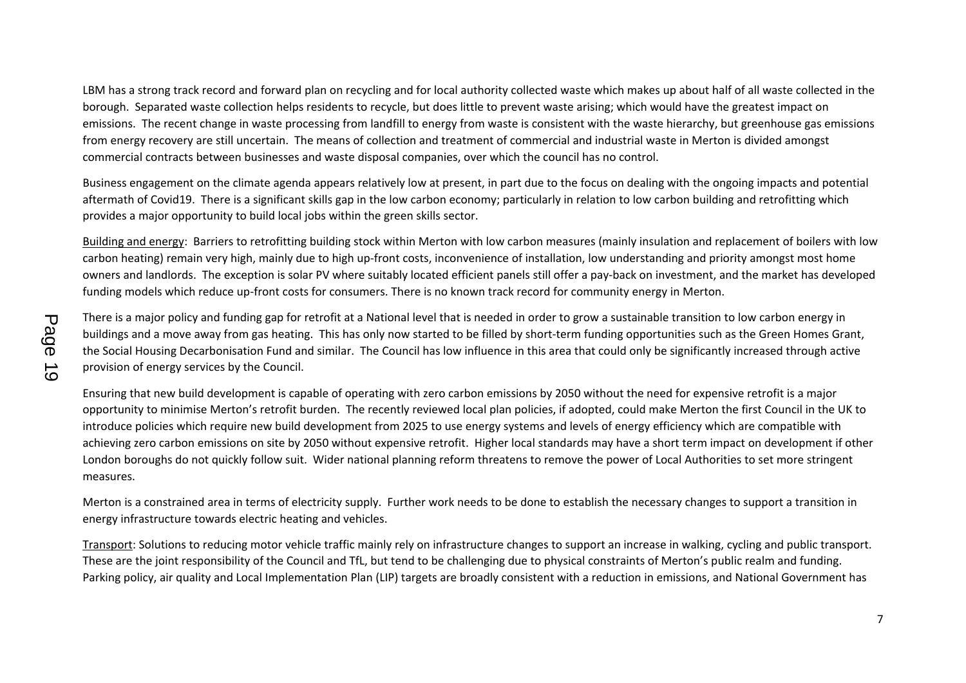LBM has a strong track record and forward plan on recycling and for local authority collected waste which makes up about half of all waste collected in the borough. Separated waste collection helps residents to recycle, but does little to prevent waste arising; which would have the greatest impact on emissions. The recent change in waste processing from landfill to energy from waste is consistent with the waste hierarchy, but greenhouse gas emissions from energy recovery are still uncertain. The means of collection and treatment of commercial and industrial waste in Merton is divided amongst commercial contracts between businesses and waste disposal companies, over which the council has no control.

Business engagement on the climate agenda appears relatively low at present, in part due to the focus on dealing with the ongoing impacts and potential aftermath of Covid19. There is a significant skills gap in the low carbon economy; particularly in relation to low carbon building and retrofitting which provides a major opportunity to build local jobs within the green skills sector.

Building and energy: Barriers to retrofitting building stock within Merton with low carbon measures (mainly insulation and replacement of boilers with low carbon heating) remain very high, mainly due to high up-front costs, inconvenience of installation, low understanding and priority amongst most home owners and landlords. The exception is solar PV where suitably located efficient panels still offer a pay-back on investment, and the market has developed funding models which reduce up-front costs for consumers. There is no known track record for community energy in Merton.

There is a major policy and funding gap for retrofit at a National level that is needed in order to grow a sustainable transition to low carbon energy in buildings and a move away from gas heating. This has only now started to be filled by short-term funding opportunities such as the Green Homes Grant, the Social Housing Decarbonisation Fund and similar. The Council has low influence in this area that could only be significantly increased through active provision of energy services by the Council.

Ensuring that new build development is capable of operating with zero carbon emissions by 2050 without the need for expensive retrofit is a major opportunity to minimise Merton's retrofit burden. The recently reviewed local plan policies, if adopted, could make Merton the first Council in the UK to introduce policies which require new build development from 2025 to use energy systems and levels of energy efficiency which are compatible with achieving zero carbon emissions on site by 2050 without expensive retrofit. Higher local standards may have a short term impact on development if other London boroughs do not quickly follow suit. Wider national planning reform threatens to remove the power of Local Authorities to set more stringent measures.

Merton is a constrained area in terms of electricity supply. Further work needs to be done to establish the necessary changes to support a transition in energy infrastructure towards electric heating and vehicles.

Transport: Solutions to reducing motor vehicle traffic mainly rely on infrastructure changes to support an increase in walking, cycling and public transport. These are the joint responsibility of the Council and TfL, but tend to be challenging due to physical constraints of Merton's public realm and funding. Parking policy, air quality and Local Implementation Plan (LIP) targets are broadly consistent with a reduction in emissions, and National Government has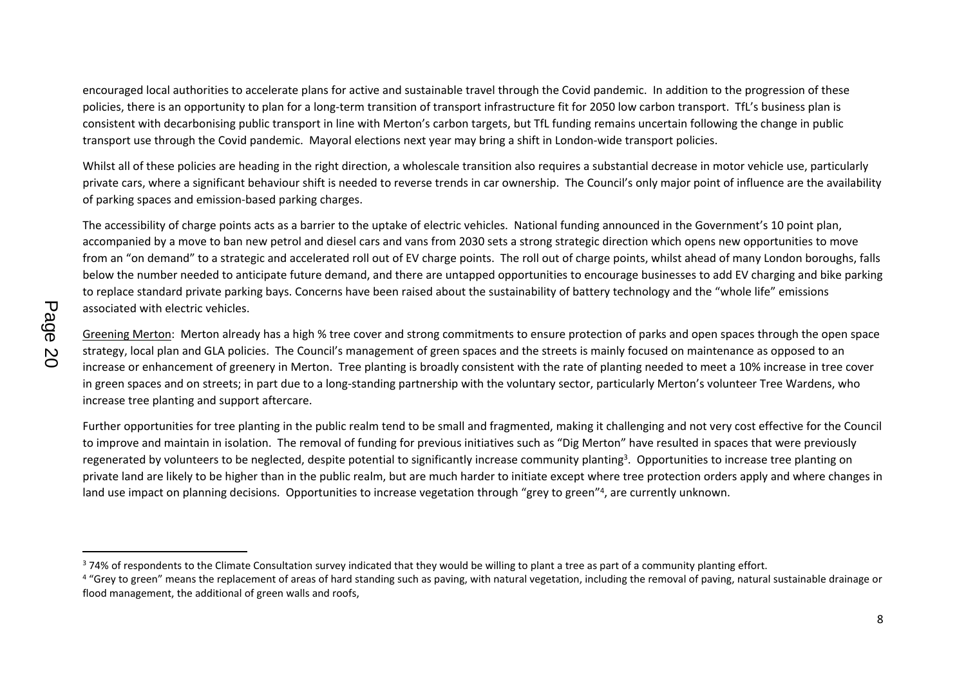encouraged local authorities to accelerate plans for active and sustainable travel through the Covid pandemic. In addition to the progression of these policies, there is an opportunity to plan for a long-term transition of transport infrastructure fit for 2050 low carbon transport. TfL's business plan is consistent with decarbonising public transport in line with Merton's carbon targets, but TfL funding remains uncertain following the change in public transport use through the Covid pandemic. Mayoral elections next year may bring a shift in London-wide transport policies.

Whilst all of these policies are heading in the right direction, a wholescale transition also requires a substantial decrease in motor vehicle use, particularly private cars, where a significant behaviour shift is needed to reverse trends in car ownership. The Council's only major point of influence are the availability of parking spaces and emission-based parking charges.

The accessibility of charge points acts as a barrier to the uptake of electric vehicles. National funding announced in the Government's 10 point plan, accompanied by a move to ban new petrol and diesel cars and vans from 2030 sets a strong strategic direction which opens new opportunities to move from an "on demand" to a strategic and accelerated roll out of EV charge points. The roll out of charge points, whilst ahead of many London boroughs, falls below the number needed to anticipate future demand, and there are untapped opportunities to encourage businesses to add EV charging and bike parking to replace standard private parking bays. Concerns have been raised about the sustainability of battery technology and the "whole life" emissions associated with electric vehicles.

Greening Merton: Merton already has a high % tree cover and strong commitments to ensure protection of parks and open spaces through the open space strategy, local plan and GLA policies. The Council's management of green spaces and the streets is mainly focused on maintenance as opposed to an increase or enhancement of greenery in Merton. Tree planting is broadly consistent with the rate of planting needed to meet a 10% increase in tree cover in green spaces and on streets; in part due to a long-standing partnership with the voluntary sector, particularly Merton's volunteer Tree Wardens, who increase tree planting and support aftercare.

Further opportunities for tree planting in the public realm tend to be small and fragmented, making it challenging and not very cost effective for the Council to improve and maintain in isolation. The removal of funding for previous initiatives such as "Dig Merton" have resulted in spaces that were previously regenerated by volunteers to be neglected, despite potential to significantly increase community planting<sup>3</sup>. Opportunities to increase tree planting on private land are likely to be higher than in the public realm, but are much harder to initiate except where tree protection orders apply and where changes in land use impact on planning decisions. Opportunities to increase vegetation through "grey to green"<sup>4</sup>, are currently unknown.

<sup>&</sup>lt;sup>3</sup> 74% of respondents to the Climate Consultation survey indicated that they would be willing to plant a tree as part of a community planting effort.

<sup>&</sup>lt;sup>4</sup> "Grey to green" means the replacement of areas of hard standing such as paving, with natural vegetation, including the removal of paving, natural sustainable drainage or flood management, the additional of green walls and roofs,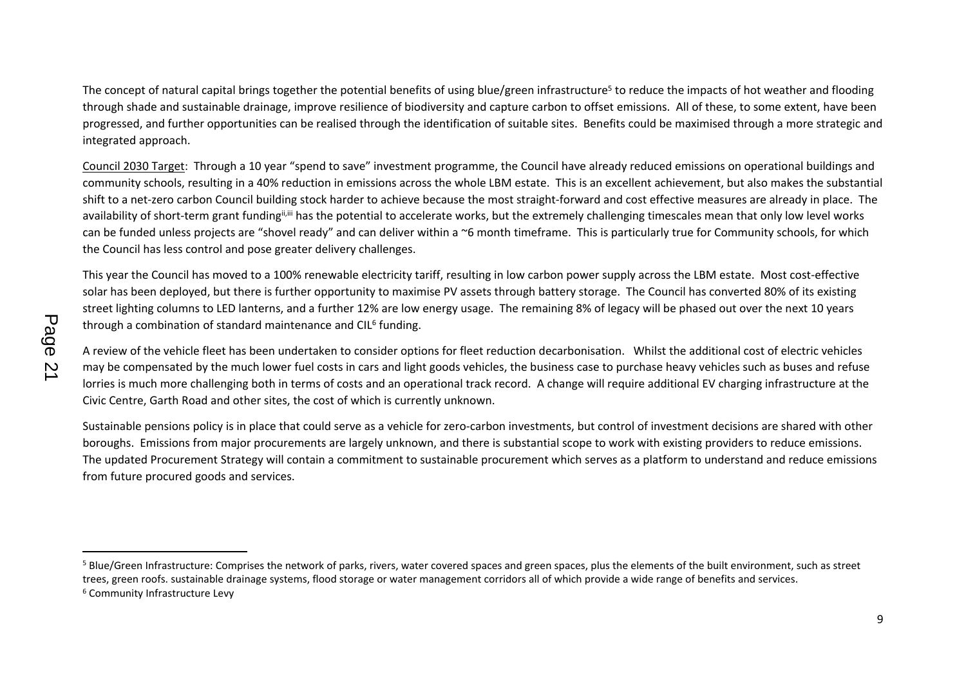The concept of natural capital brings together the potential benefits of using blue/green infrastructure<sup>5</sup> to reduce the impacts of hot weather and flooding through shade and sustainable drainage, improve resilience of biodiversity and capture carbon to offset emissions. All of these, to some extent, have been progressed, and further opportunities can be realised through the identification of suitable sites. Benefits could be maximised through a more strategic and integrated approach.

Council 2030 Target: Through a 10 year "spend to save" investment programme, the Council have already reduced emissions on operational buildings and community schools, resulting in a 40% reduction in emissions across the whole LBM estate. This is an excellent achievement, but also makes the substantial shift to a net-zero carbon Council building stock harder to achieve because the most straight-forward and cost effective measures are already in place. The availability of short-term grant funding<sup>ii,iii</sup> has the potential to accelerate works, but the extremely challenging timescales mean that only low level works can be funded unless projects are "shovel ready" and can deliver within a ~6 month timeframe. This is particularly true for Community schools, for which the Council has less control and pose greater delivery challenges.

This year the Council has moved to a 100% renewable electricity tariff, resulting in low carbon power supply across the LBM estate. Most cost-effective solar has been deployed, but there is further opportunity to maximise PV assets through battery storage. The Council has converted 80% of its existing street lighting columns to LED lanterns, and a further 12% are low energy usage. The remaining 8% of legacy will be phased out over the next 10 years through a combination of standard maintenance and CIL<sup>6</sup> funding.

A review of the vehicle fleet has been undertaken to consider options for fleet reduction decarbonisation. Whilst the additional cost of electric vehicles may be compensated by the much lower fuel costs in cars and light goods vehicles, the business case to purchase heavy vehicles such as buses and refuse lorries is much more challenging both in terms of costs and an operational track record. A change will require additional EV charging infrastructure at the Civic Centre, Garth Road and other sites, the cost of which is currently unknown.

Sustainable pensions policy is in place that could serve as a vehicle for zero-carbon investments, but control of investment decisions are shared with other boroughs. Emissions from major procurements are largely unknown, and there is substantial scope to work with existing providers to reduce emissions. The updated Procurement Strategy will contain a commitment to sustainable procurement which serves as a platform to understand and reduce emissions from future procured goods and services.

<sup>&</sup>lt;sup>5</sup> Blue/Green Infrastructure: Comprises the network of parks, rivers, water covered spaces and green spaces, plus the elements of the built environment, such as street trees, green roofs. sustainable drainage systems, flood storage or water management corridors all of which provide a wide range of benefits and services. <sup>6</sup> Community Infrastructure Levy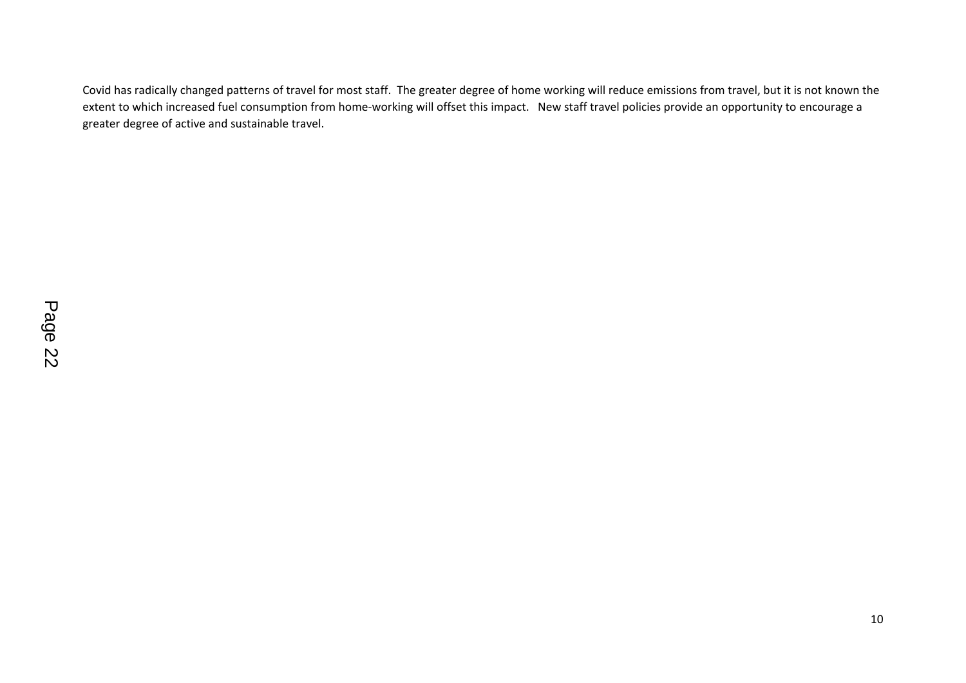Covid has radically changed patterns of travel for most staff. The greater degree of home working will reduce emissions from travel, but it is not known the extent to which increased fuel consumption from home-working will offset this impact. New staff travel policies provide an opportunity to encourage a greater degree of active and sustainable travel.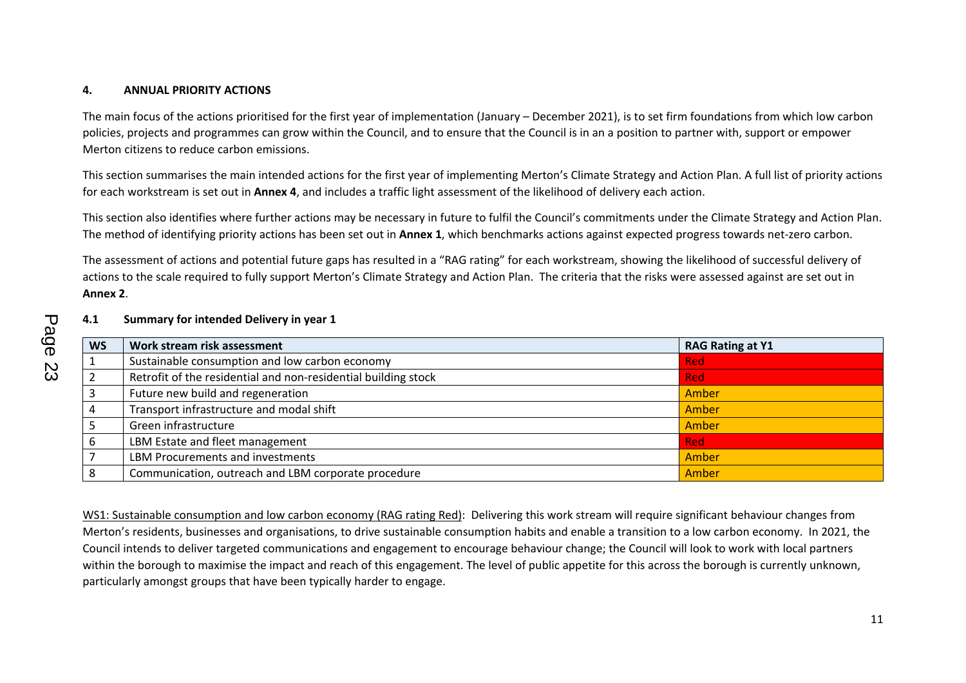## **4. ANNUAL PRIORITY ACTIONS**

The main focus of the actions prioritised for the first year of implementation (January – December 2021), is to set firm foundations from which low carbon policies, projects and programmes can grow within the Council, and to ensure that the Council is in an a position to partner with, support or empower Merton citizens to reduce carbon emissions.

This section summarises the main intended actions for the first year of implementing Merton's Climate Strategy and Action Plan. A full list of priority actions for each workstream is set out in **Annex 4**, and includes a traffic light assessment of the likelihood of delivery each action.

This section also identifies where further actions may be necessary in future to fulfil the Council's commitments under the Climate Strategy and Action Plan. The method of identifying priority actions has been set out in **Annex 1**, which benchmarks actions against expected progress towards net-zero carbon.

The assessment of actions and potential future gaps has resulted in a "RAG rating" for each workstream, showing the likelihood of successful delivery of actions to the scale required to fully support Merton's Climate Strategy and Action Plan. The criteria that the risks were assessed against are set out in **Annex 2**.

#### **4.1 Summary for intended Delivery in year 1**

| <b>WS</b> | Work stream risk assessment                                    | <b>RAG Rating at Y1</b> |
|-----------|----------------------------------------------------------------|-------------------------|
|           | Sustainable consumption and low carbon economy                 | <b>Red</b>              |
|           | Retrofit of the residential and non-residential building stock | <b>Red</b>              |
|           | Future new build and regeneration                              | Amber                   |
|           | Transport infrastructure and modal shift                       | Amber                   |
|           | Green infrastructure                                           | Amber                   |
| b         | LBM Estate and fleet management                                | <b>Red</b>              |
|           | LBM Procurements and investments                               | Amber                   |
| 8         | Communication, outreach and LBM corporate procedure            | Amber                   |

WS1: Sustainable consumption and low carbon economy (RAG rating Red): Delivering this work stream will require significant behaviour changes from Merton's residents, businesses and organisations, to drive sustainable consumption habits and enable a transition to a low carbon economy. In 2021, the Council intends to deliver targeted communications and engagement to encourage behaviour change; the Council will look to work with local partners within the borough to maximise the impact and reach of this engagement. The level of public appetite for this across the borough is currently unknown, particularly amongst groups that have been typically harder to engage.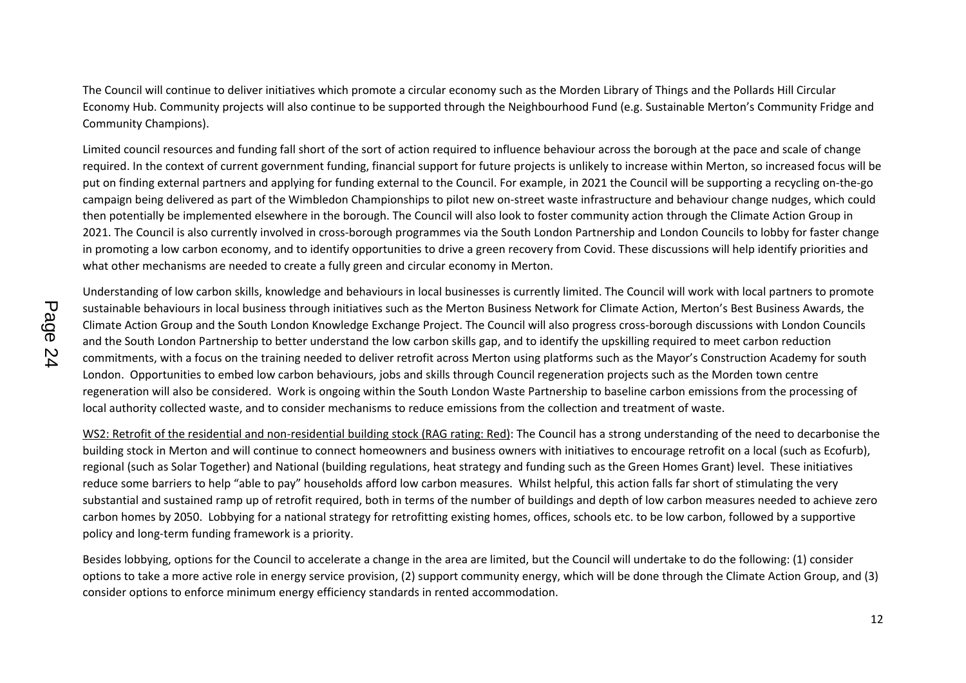The Council will continue to deliver initiatives which promote a circular economy such as the Morden Library of Things and the Pollards Hill Circular Economy Hub. Community projects will also continue to be supported through the Neighbourhood Fund (e.g. Sustainable Merton's Community Fridge and Community Champions).

Limited council resources and funding fall short of the sort of action required to influence behaviour across the borough at the pace and scale of change required. In the context of current government funding, financial support for future projects is unlikely to increase within Merton, so increased focus will be put on finding external partners and applying for funding external to the Council. For example, in 2021 the Council will be supporting a recycling on-the-go campaign being delivered as part of the Wimbledon Championships to pilot new on-street waste infrastructure and behaviour change nudges, which could then potentially be implemented elsewhere in the borough. The Council will also look to foster community action through the Climate Action Group in 2021. The Council is also currently involved in cross-borough programmes via the South London Partnership and London Councils to lobby for faster change in promoting a low carbon economy, and to identify opportunities to drive a green recovery from Covid. These discussions will help identify priorities and what other mechanisms are needed to create a fully green and circular economy in Merton.

Understanding of low carbon skills, knowledge and behaviours in local businesses is currently limited. The Council will work with local partners to promote sustainable behaviours in local business through initiatives such as the Merton Business Network for Climate Action, Merton's Best Business Awards, the Climate Action Group and the South London Knowledge Exchange Project. The Council will also progress cross-borough discussions with London Councils and the South London Partnership to better understand the low carbon skills gap, and to identify the upskilling required to meet carbon reduction commitments, with a focus on the training needed to deliver retrofit across Merton using platforms such as the Mayor's Construction Academy for south London. Opportunities to embed low carbon behaviours, jobs and skills through Council regeneration projects such as the Morden town centre regeneration will also be considered. Work is ongoing within the South London Waste Partnership to baseline carbon emissions from the processing of local authority collected waste, and to consider mechanisms to reduce emissions from the collection and treatment of waste.

WS2: Retrofit of the residential and non-residential building stock (RAG rating: Red): The Council has a strong understanding of the need to decarbonise the building stock in Merton and will continue to connect homeowners and business owners with initiatives to encourage retrofit on a local (such as Ecofurb), regional (such as Solar Together) and National (building regulations, heat strategy and funding such as the Green Homes Grant) level. These initiatives reduce some barriers to help "able to pay" households afford low carbon measures. Whilst helpful, this action falls far short of stimulating the very substantial and sustained ramp up of retrofit required, both in terms of the number of buildings and depth of low carbon measures needed to achieve zero carbon homes by 2050. Lobbying for a national strategy for retrofitting existing homes, offices, schools etc. to be low carbon, followed by a supportive policy and long-term funding framework is a priority.

Besides lobbying, options for the Council to accelerate a change in the area are limited, but the Council will undertake to do the following: (1) consider options to take a more active role in energy service provision, (2) support community energy, which will be done through the Climate Action Group, and (3) consider options to enforce minimum energy efficiency standards in rented accommodation.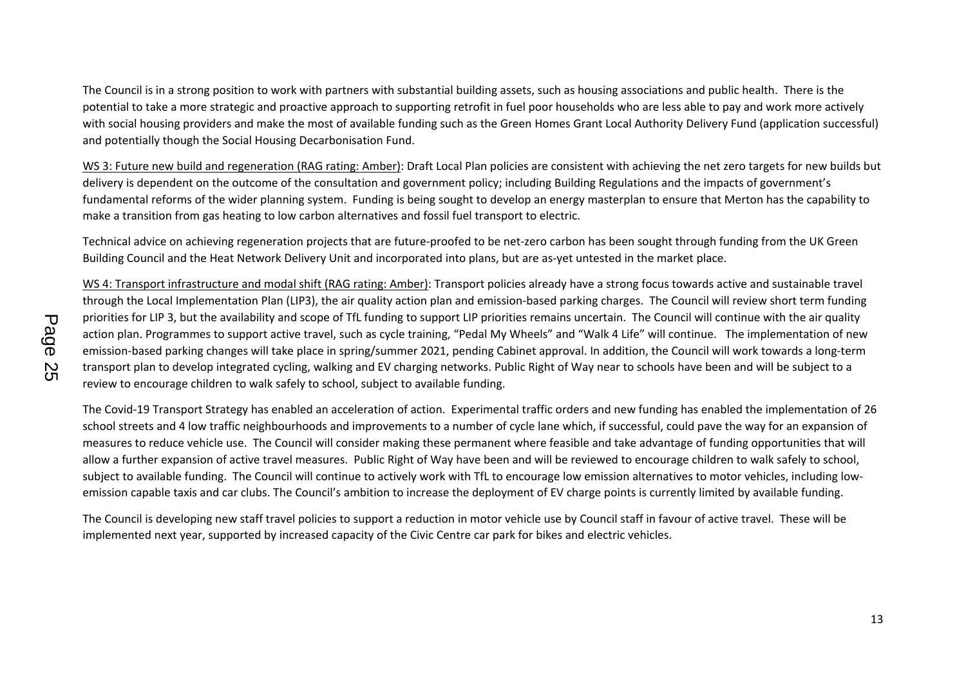The Council is in a strong position to work with partners with substantial building assets, such as housing associations and public health. There is the potential to take a more strategic and proactive approach to supporting retrofit in fuel poor households who are less able to pay and work more actively with social housing providers and make the most of available funding such as the Green Homes Grant Local Authority Delivery Fund (application successful) and potentially though the Social Housing Decarbonisation Fund.

WS 3: Future new build and regeneration (RAG rating: Amber): Draft Local Plan policies are consistent with achieving the net zero targets for new builds but delivery is dependent on the outcome of the consultation and government policy; including Building Regulations and the impacts of government's fundamental reforms of the wider planning system. Funding is being sought to develop an energy masterplan to ensure that Merton has the capability to make a transition from gas heating to low carbon alternatives and fossil fuel transport to electric.

Technical advice on achieving regeneration projects that are future-proofed to be net-zero carbon has been sought through funding from the UK Green Building Council and the Heat Network Delivery Unit and incorporated into plans, but are as-yet untested in the market place.

WS 4: Transport infrastructure and modal shift (RAG rating: Amber): Transport policies already have a strong focus towards active and sustainable travel through the Local Implementation Plan (LIP3), the air quality action plan and emission-based parking charges. The Council will review short term funding priorities for LIP 3, but the availability and scope of TfL funding to support LIP priorities remains uncertain. The Council will continue with the air quality action plan. Programmes to support active travel, such as cycle training, "Pedal My Wheels" and "Walk 4 Life" will continue. The implementation of new emission-based parking changes will take place in spring/summer 2021, pending Cabinet approval. In addition, the Council will work towards a long-term transport plan to develop integrated cycling, walking and EV charging networks. Public Right of Way near to schools have been and will be subject to a review to encourage children to walk safely to school, subject to available funding.

The Covid-19 Transport Strategy has enabled an acceleration of action. Experimental traffic orders and new funding has enabled the implementation of 26 school streets and 4 low traffic neighbourhoods and improvements to a number of cycle lane which, if successful, could pave the way for an expansion of measures to reduce vehicle use. The Council will consider making these permanent where feasible and take advantage of funding opportunities that will allow a further expansion of active travel measures. Public Right of Way have been and will be reviewed to encourage children to walk safely to school, subject to available funding. The Council will continue to actively work with TfL to encourage low emission alternatives to motor vehicles, including lowemission capable taxis and car clubs. The Council's ambition to increase the deployment of EV charge points is currently limited by available funding.

The Council is developing new staff travel policies to support a reduction in motor vehicle use by Council staff in favour of active travel. These will be implemented next year, supported by increased capacity of the Civic Centre car park for bikes and electric vehicles.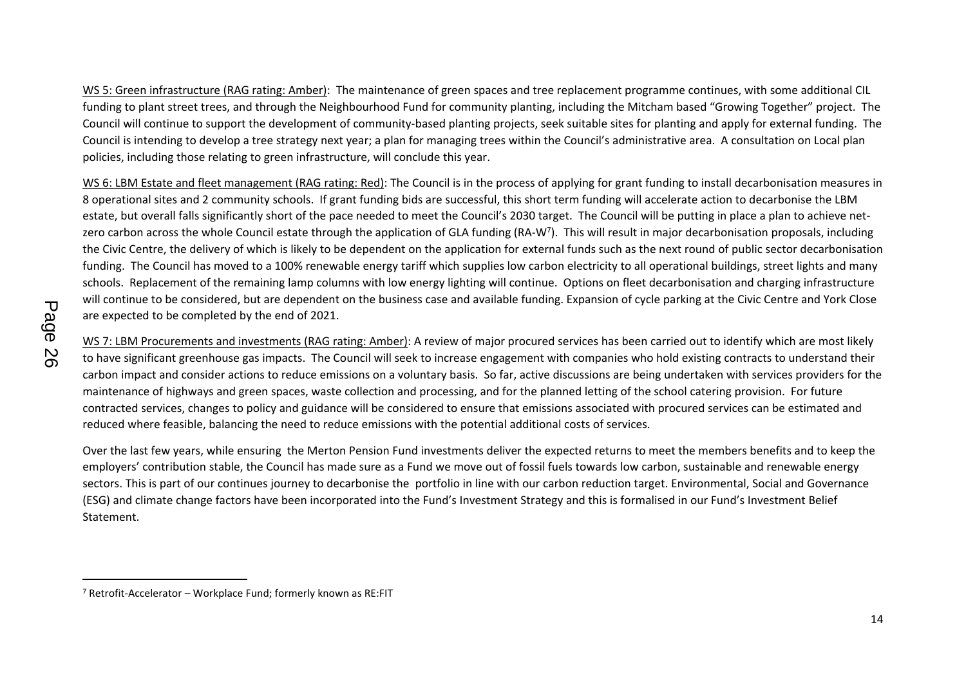WS 5: Green infrastructure (RAG rating: Amber): The maintenance of green spaces and tree replacement programme continues, with some additional CIL funding to plant street trees, and through the Neighbourhood Fund for community planting, including the Mitcham based "Growing Together" project. The Council will continue to support the development of community-based planting projects, seek suitable sites for planting and apply for external funding. The Council is intending to develop a tree strategy next year; a plan for managing trees within the Council's administrative area. A consultation on Local plan policies, including those relating to green infrastructure, will conclude this year.

WS 6: LBM Estate and fleet management (RAG rating: Red): The Council is in the process of applying for grant funding to install decarbonisation measures in 8 operational sites and 2 community schools. If grant funding bids are successful, this short term funding will accelerate action to decarbonise the LBM estate, but overall falls significantly short of the pace needed to meet the Council's 2030 target. The Council will be putting in place a plan to achieve netzero carbon across the whole Council estate through the application of GLA funding (RA-W<sup>7</sup>). This will result in major decarbonisation proposals, including the Civic Centre, the delivery of which is likely to be dependent on the application for external funds such as the next round of public sector decarbonisation funding. The Council has moved to a 100% renewable energy tariff which supplies low carbon electricity to all operational buildings, street lights and many schools. Replacement of the remaining lamp columns with low energy lighting will continue. Options on fleet decarbonisation and charging infrastructure will continue to be considered, but are dependent on the business case and available funding. Expansion of cycle parking at the Civic Centre and York Close are expected to be completed by the end of 2021.

WS 7: LBM Procurements and investments (RAG rating: Amber): A review of major procured services has been carried out to identify which are most likely to have significant greenhouse gas impacts. The Council will seek to increase engagement with companies who hold existing contracts to understand their carbon impact and consider actions to reduce emissions on a voluntary basis. So far, active discussions are being undertaken with services providers for the maintenance of highways and green spaces, waste collection and processing, and for the planned letting of the school catering provision. For future contracted services, changes to policy and guidance will be considered to ensure that emissions associated with procured services can be estimated and reduced where feasible, balancing the need to reduce emissions with the potential additional costs of services.

Over the last few years, while ensuring the Merton Pension Fund investments deliver the expected returns to meet the members benefits and to keep the employers' contribution stable, the Council has made sure as a Fund we move out of fossil fuels towards low carbon, sustainable and renewable energy sectors. This is part of our continues journey to decarbonise the portfolio in line with our carbon reduction target. Environmental, Social and Governance (ESG) and climate change factors have been incorporated into the Fund's Investment Strategy and this is formalised in our Fund's Investment Belief Statement.

<sup>7</sup> Retrofit-Accelerator – Workplace Fund; formerly known as RE:FIT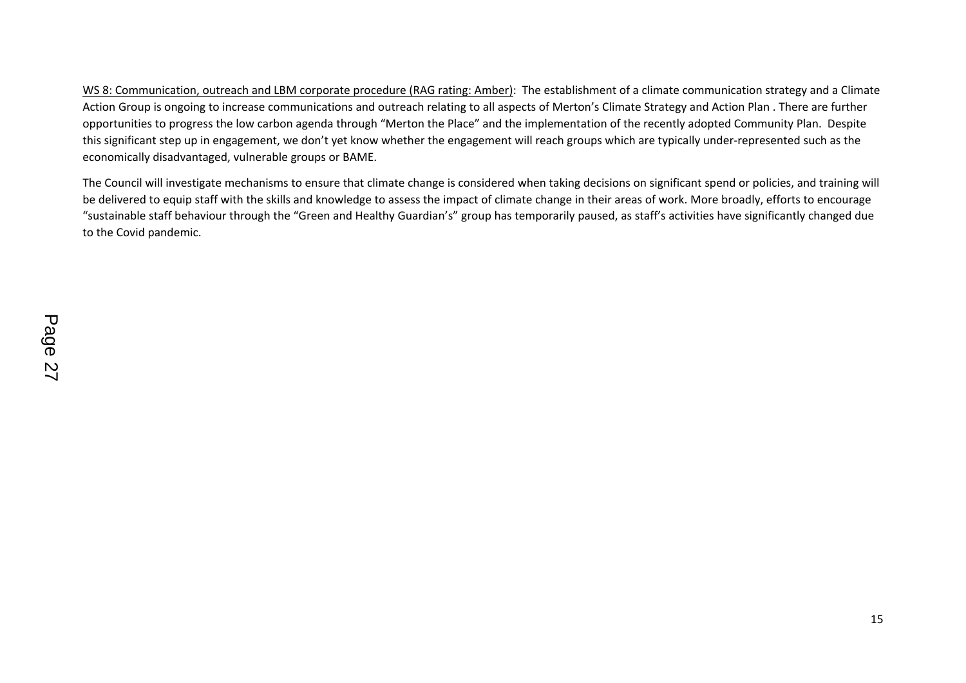WS 8: Communication, outreach and LBM corporate procedure (RAG rating: Amber): The establishment of a climate communication strategy and a Climate Action Group is ongoing to increase communications and outreach relating to all aspects of Merton's Climate Strategy and Action Plan . There are further opportunities to progress the low carbon agenda through "Merton the Place" and the implementation of the recently adopted Community Plan. Despite this significant step up in engagement, we don't yet know whether the engagement will reach groups which are typically under-represented such as the economically disadvantaged, vulnerable groups or BAME.

The Council will investigate mechanisms to ensure that climate change is considered when taking decisions on significant spend or policies, and training will be delivered to equip staff with the skills and knowledge to assess the impact of climate change in their areas of work. More broadly, efforts to encourage "sustainable staff behaviour through the "Green and Healthy Guardian's" group has temporarily paused, as staff's activities have significantly changed due to the Covid pandemic.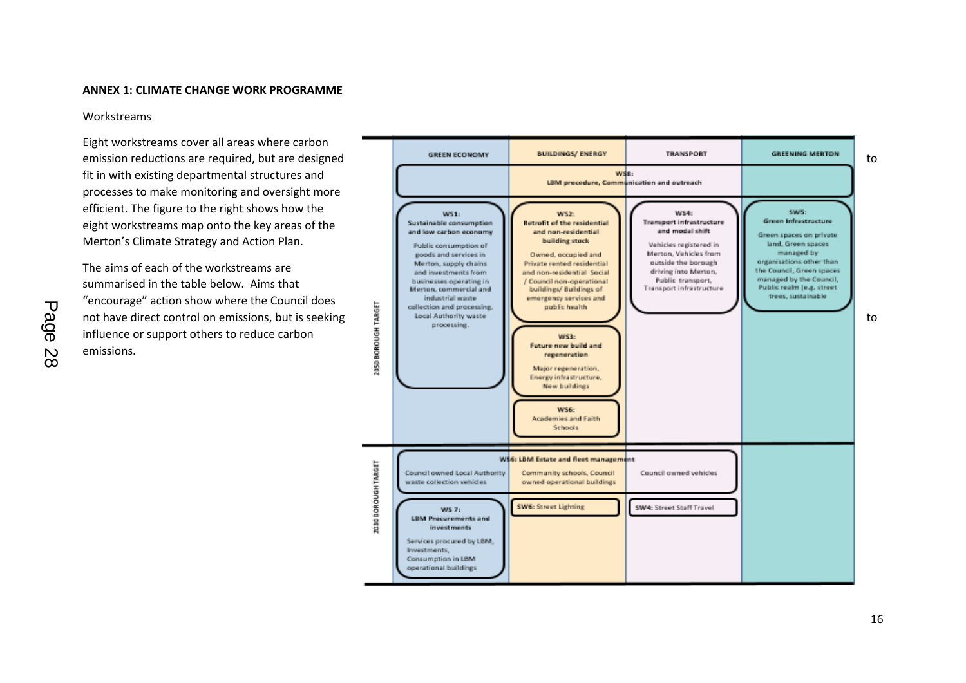#### **ANNEX 1: CLIMATE CHANGE WORK PROGRAMME**

#### Workstreams

Eight workstreams cover all areas where carbon fit in with existing departmental structures and processes to make monitoring and oversight more efficient. The figure to the right shows how the eight workstreams map onto the key areas of the Merton's Climate Strategy and Action Plan.

The aims of each of the workstreams are summarised in the table below. Aims that "encourage" action show where the Council does influence or support others to reduce carbon emissions.

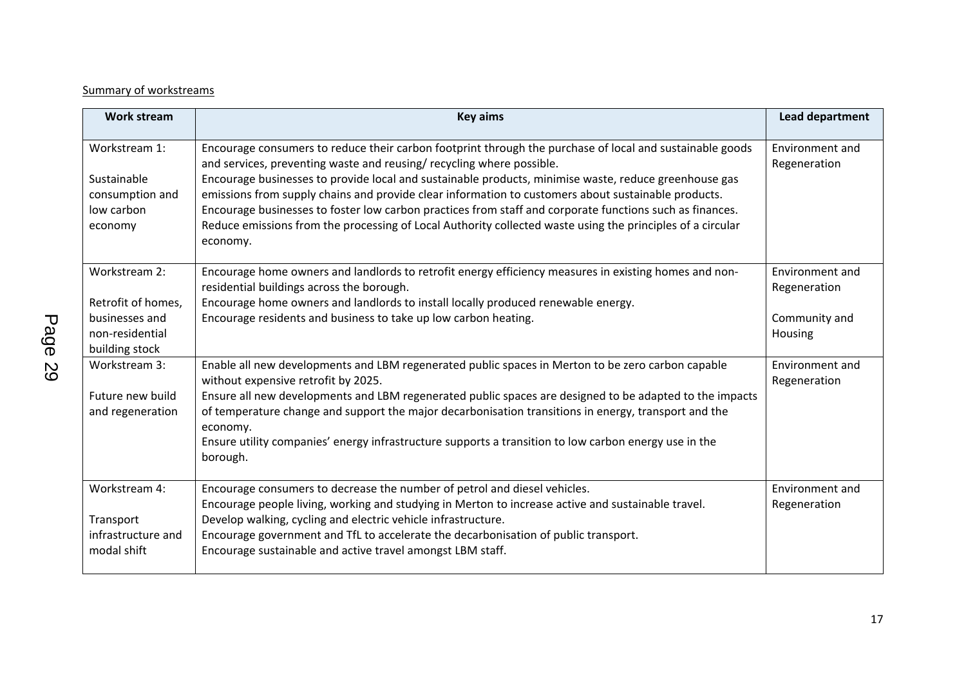# Summary of workstreams

| <b>Work stream</b>                                                                         | <b>Key aims</b>                                                                                                                                                                                                                                                                                                                                                                                                                                                                                                                                                                                                                        | <b>Lead department</b>                                      |
|--------------------------------------------------------------------------------------------|----------------------------------------------------------------------------------------------------------------------------------------------------------------------------------------------------------------------------------------------------------------------------------------------------------------------------------------------------------------------------------------------------------------------------------------------------------------------------------------------------------------------------------------------------------------------------------------------------------------------------------------|-------------------------------------------------------------|
| Workstream 1:<br>Sustainable<br>consumption and<br>low carbon<br>economy                   | Encourage consumers to reduce their carbon footprint through the purchase of local and sustainable goods<br>and services, preventing waste and reusing/recycling where possible.<br>Encourage businesses to provide local and sustainable products, minimise waste, reduce greenhouse gas<br>emissions from supply chains and provide clear information to customers about sustainable products.<br>Encourage businesses to foster low carbon practices from staff and corporate functions such as finances.<br>Reduce emissions from the processing of Local Authority collected waste using the principles of a circular<br>economy. | Environment and<br>Regeneration                             |
| Workstream 2:<br>Retrofit of homes,<br>businesses and<br>non-residential<br>building stock | Encourage home owners and landlords to retrofit energy efficiency measures in existing homes and non-<br>residential buildings across the borough.<br>Encourage home owners and landlords to install locally produced renewable energy.<br>Encourage residents and business to take up low carbon heating.                                                                                                                                                                                                                                                                                                                             | Environment and<br>Regeneration<br>Community and<br>Housing |
| Workstream 3:<br>Future new build<br>and regeneration                                      | Enable all new developments and LBM regenerated public spaces in Merton to be zero carbon capable<br>without expensive retrofit by 2025.<br>Ensure all new developments and LBM regenerated public spaces are designed to be adapted to the impacts<br>of temperature change and support the major decarbonisation transitions in energy, transport and the<br>economy.<br>Ensure utility companies' energy infrastructure supports a transition to low carbon energy use in the<br>borough.                                                                                                                                           | Environment and<br>Regeneration                             |
| Workstream 4:<br>Transport<br>infrastructure and<br>modal shift                            | Encourage consumers to decrease the number of petrol and diesel vehicles.<br>Encourage people living, working and studying in Merton to increase active and sustainable travel.<br>Develop walking, cycling and electric vehicle infrastructure.<br>Encourage government and TfL to accelerate the decarbonisation of public transport.<br>Encourage sustainable and active travel amongst LBM staff.                                                                                                                                                                                                                                  | Environment and<br>Regeneration                             |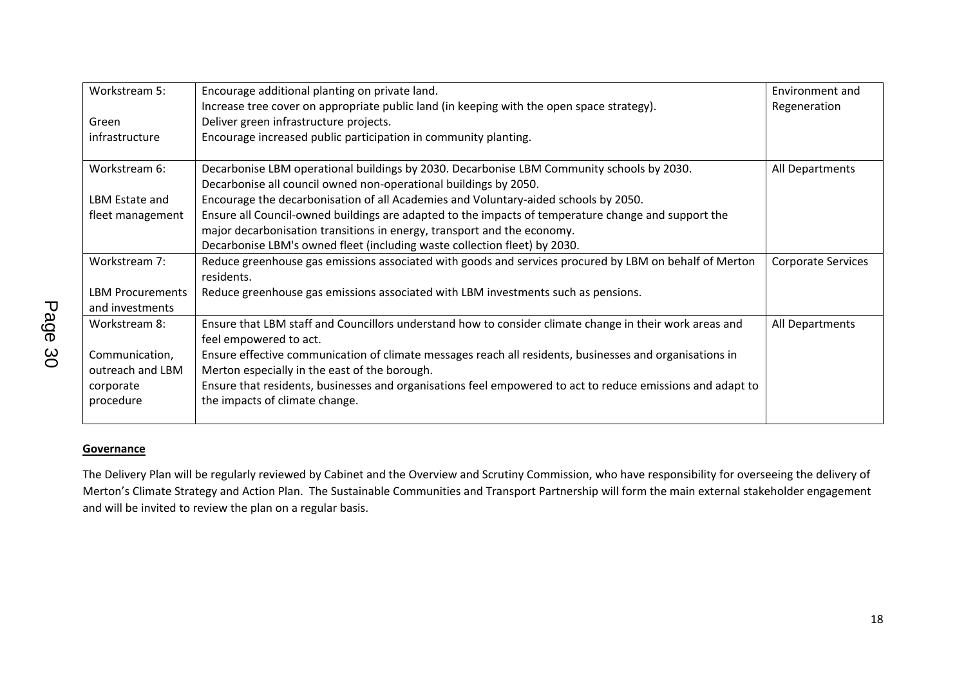| Workstream 5:                              | Encourage additional planting on private land.                                                                                                                | Environment and           |
|--------------------------------------------|---------------------------------------------------------------------------------------------------------------------------------------------------------------|---------------------------|
|                                            | Increase tree cover on appropriate public land (in keeping with the open space strategy).                                                                     | Regeneration              |
| Green                                      | Deliver green infrastructure projects.                                                                                                                        |                           |
| infrastructure                             | Encourage increased public participation in community planting.                                                                                               |                           |
| Workstream 6:                              | Decarbonise LBM operational buildings by 2030. Decarbonise LBM Community schools by 2030.<br>Decarbonise all council owned non-operational buildings by 2050. | All Departments           |
| LBM Estate and                             | Encourage the decarbonisation of all Academies and Voluntary-aided schools by 2050.                                                                           |                           |
| fleet management                           | Ensure all Council-owned buildings are adapted to the impacts of temperature change and support the                                                           |                           |
|                                            | major decarbonisation transitions in energy, transport and the economy.                                                                                       |                           |
|                                            | Decarbonise LBM's owned fleet (including waste collection fleet) by 2030.                                                                                     |                           |
| Workstream 7:                              | Reduce greenhouse gas emissions associated with goods and services procured by LBM on behalf of Merton<br>residents.                                          | <b>Corporate Services</b> |
| <b>LBM Procurements</b><br>and investments | Reduce greenhouse gas emissions associated with LBM investments such as pensions.                                                                             |                           |
| Workstream 8:                              | Ensure that LBM staff and Councillors understand how to consider climate change in their work areas and<br>feel empowered to act.                             | All Departments           |
| Communication,                             | Ensure effective communication of climate messages reach all residents, businesses and organisations in                                                       |                           |
| outreach and LBM                           | Merton especially in the east of the borough.                                                                                                                 |                           |
| corporate                                  | Ensure that residents, businesses and organisations feel empowered to act to reduce emissions and adapt to                                                    |                           |
| procedure                                  | the impacts of climate change.                                                                                                                                |                           |
|                                            |                                                                                                                                                               |                           |

## **Governance**

The Delivery Plan will be regularly reviewed by Cabinet and the Overview and Scrutiny Commission, who have responsibility for overseeing the delivery of Merton's Climate Strategy and Action Plan. The Sustainable Communities and Transport Partnership will form the main external stakeholder engagement and will be invited to review the plan on a regular basis.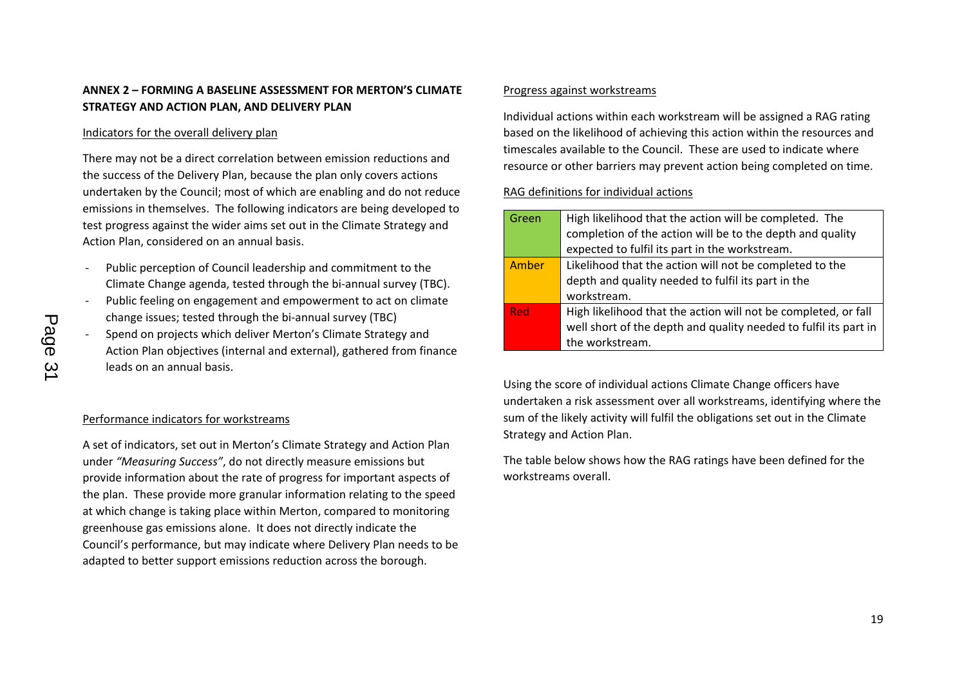# **ANNEX 2 – FORMING A BASELINE ASSESSMENT FOR MERTON'S CLIMATE STRATEGY AND ACTION PLAN, AND DELIVERY PLAN**

#### Indicators for the overall delivery plan

There may not be a direct correlation between emission reductions and the success of the Delivery Plan, because the plan only covers actions undertaken by the Council; most of which are enabling and do not reduce emissions in themselves. The following indicators are being developed to test progress against the wider aims set out in the Climate Strategy and Action Plan, considered on an annual basis.

- Public perception of Council leadership and commitment to the Climate Change agenda, tested through the bi-annual survey (TBC).
- Public feeling on engagement and empowerment to act on climate change issues; tested through the bi-annual survey (TBC)
- Spend on projects which deliver Merton's Climate Strategy and Action Plan objectives (internal and external), gathered from finance leads on an annual basis.

## Performance indicators for workstreams

A set of indicators, set out in Merton's Climate Strategy and Action Plan under *"Measuring Success"*, do not directly measure emissions but provide information about the rate of progress for important aspects of the plan. These provide more granular information relating to the speed at which change is taking place within Merton, compared to monitoring greenhouse gas emissions alone. It does not directly indicate the Council's performance, but may indicate where Delivery Plan needs to be adapted to better support emissions reduction across the borough.

#### Progress against workstreams

Individual actions within each workstream will be assigned a RAG rating based on the likelihood of achieving this action within the resources and timescales available to the Council. These are used to indicate where resource or other barriers may prevent action being completed on time.

## RAG definitions for individual actions

| Green      | High likelihood that the action will be completed. The           |
|------------|------------------------------------------------------------------|
|            | completion of the action will be to the depth and quality        |
|            | expected to fulfil its part in the workstream.                   |
| Amber      | Likelihood that the action will not be completed to the          |
|            | depth and quality needed to fulfil its part in the               |
|            | workstream.                                                      |
| <b>Red</b> | High likelihood that the action will not be completed, or fall   |
|            | well short of the depth and quality needed to fulfil its part in |
|            | the workstream.                                                  |

Using the score of individual actions Climate Change officers have undertaken a risk assessment over all workstreams, identifying where the sum of the likely activity will fulfil the obligations set out in the Climate Strategy and Action Plan.

The table below shows how the RAG ratings have been defined for the workstreams overall.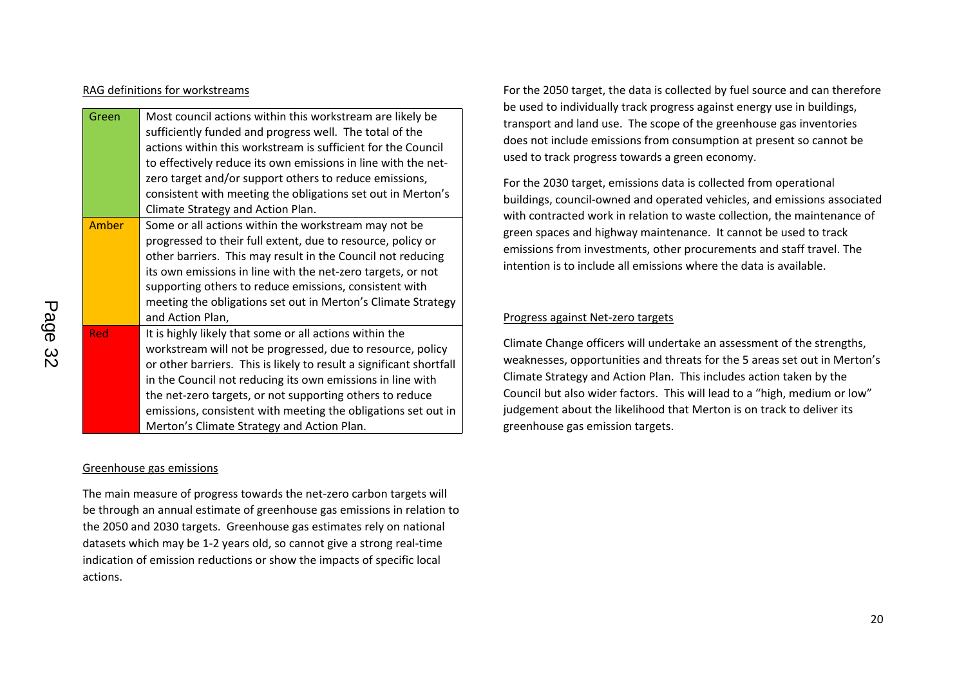#### RAG definitions for workstreams

| Green      | Most council actions within this workstream are likely be           |
|------------|---------------------------------------------------------------------|
|            | sufficiently funded and progress well. The total of the             |
|            | actions within this workstream is sufficient for the Council        |
|            | to effectively reduce its own emissions in line with the net-       |
|            | zero target and/or support others to reduce emissions,              |
|            | consistent with meeting the obligations set out in Merton's         |
|            | Climate Strategy and Action Plan.                                   |
| Amber      | Some or all actions within the workstream may not be                |
|            | progressed to their full extent, due to resource, policy or         |
|            | other barriers. This may result in the Council not reducing         |
|            | its own emissions in line with the net-zero targets, or not         |
|            | supporting others to reduce emissions, consistent with              |
|            | meeting the obligations set out in Merton's Climate Strategy        |
|            | and Action Plan,                                                    |
| <b>Red</b> | It is highly likely that some or all actions within the             |
|            | workstream will not be progressed, due to resource, policy          |
|            | or other barriers. This is likely to result a significant shortfall |
|            | in the Council not reducing its own emissions in line with          |
|            | the net-zero targets, or not supporting others to reduce            |
|            | emissions, consistent with meeting the obligations set out in       |
|            | Merton's Climate Strategy and Action Plan.                          |

## Greenhouse gas emissions

The main measure of progress towards the net-zero carbon targets will be through an annual estimate of greenhouse gas emissions in relation to the 2050 and 2030 targets. Greenhouse gas estimates rely on national datasets which may be 1-2 years old, so cannot give a strong real-time indication of emission reductions or show the impacts of specific local actions.

For the 2050 target, the data is collected by fuel source and can therefore be used to individually track progress against energy use in buildings, transport and land use. The scope of the greenhouse gas inventories does not include emissions from consumption at present so cannot be used to track progress towards a green economy.

For the 2030 target, emissions data is collected from operational buildings, council-owned and operated vehicles, and emissions associated with contracted work in relation to waste collection, the maintenance of green spaces and highway maintenance. It cannot be used to track emissions from investments, other procurements and staff travel. The intention is to include all emissions where the data is available.

## Progress against Net-zero targets

Climate Change officers will undertake an assessment of the strengths, weaknesses, opportunities and threats for the 5 areas set out in Merton's Climate Strategy and Action Plan. This includes action taken by the Council but also wider factors. This will lead to a "high, medium or low" judgement about the likelihood that Merton is on track to deliver its greenhouse gas emission targets.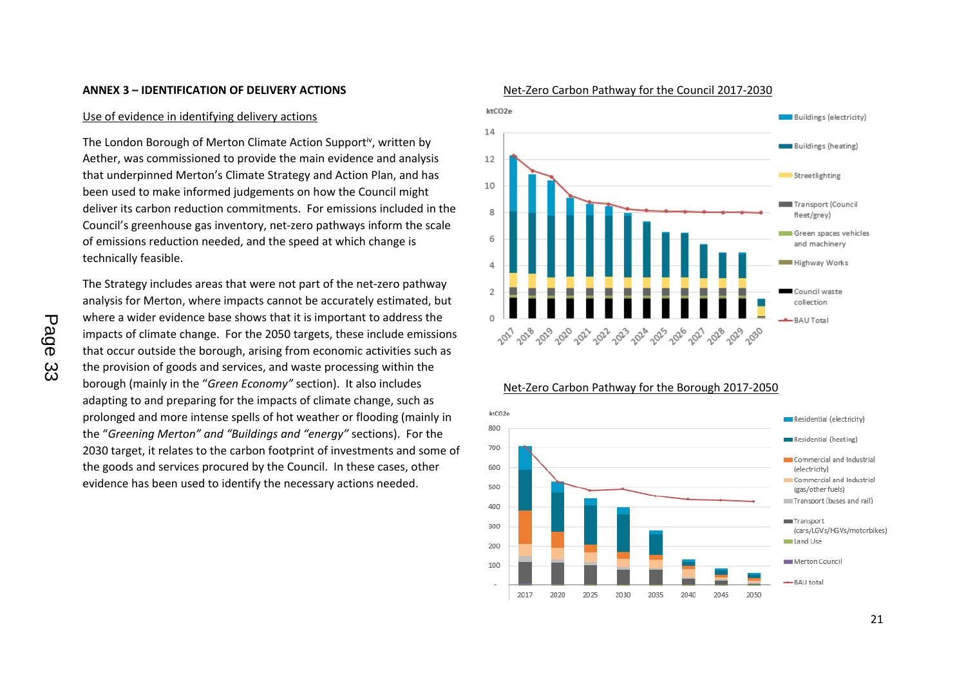#### **ANNEX 3 – IDENTIFICATION OF DELIVERY ACTIONS**

#### Use of evidence in identifying delivery actions

The London Borough of Merton Climate Action Support<sup>iv</sup>, written by Aether, was commissioned to provide the main evidence and analysis that underpinned Merton's Climate Strategy and Action Plan, and has been used to make informed judgements on how the Council might deliver its carbon reduction commitments. For emissions included in the Council's greenhouse gas inventory, net-zero pathways inform the scale of emissions reduction needed, and the speed at which change is technically feasible.

The Strategy includes areas that were not part of the net-zero pathway analysis for Merton, where impacts cannot be accurately estimated, but where a wider evidence base shows that it is important to address the impacts of climate change. For the 2050 targets, these include emissions that occur outside the borough, arising from economic activities such as the provision of goods and services, and waste processing within the borough (mainly in the "*Green Economy"* section). It also includes adapting to and preparing for the impacts of climate change, such as prolonged and more intense spells of hot weather or flooding (mainly in the "*Greening Merton" and "Buildings and "energy"* sections). For the 2030 target, it relates to the carbon footprint of investments and some of the goods and services procured by the Council. In these cases, other evidence has been used to identify the necessary actions needed.



#### Net-Zero Carbon Pathway for the Council 2017-2030

#### Net-Zero Carbon Pathway for the Borough 2017-2050

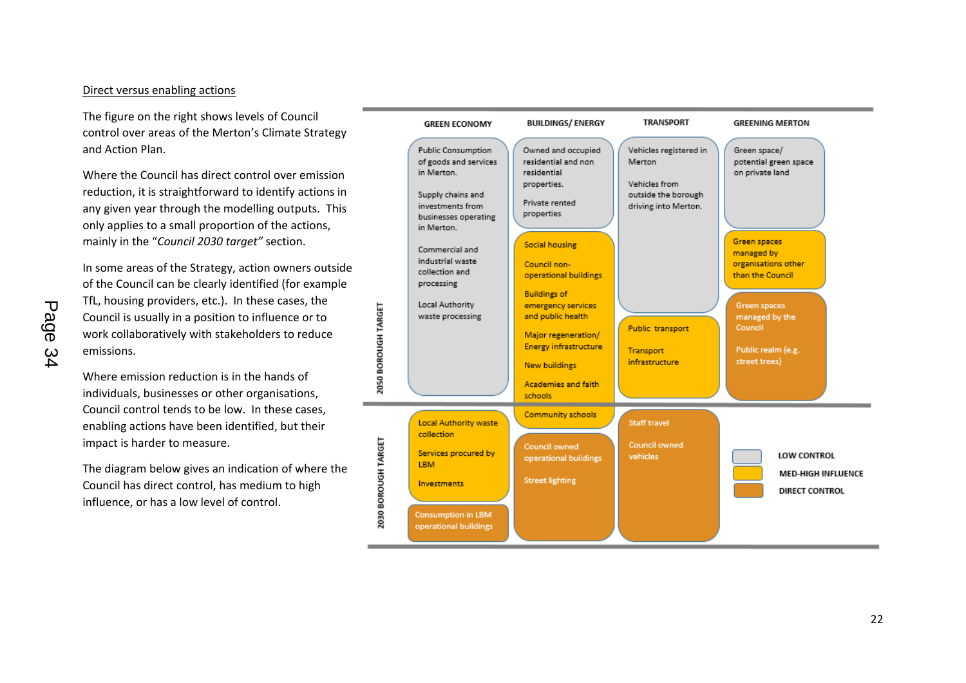#### Direct versus enabling actions

The figure on the right shows levels of Council control over areas of the Merton's Climate Strategy and Action Plan.

Where the Council has direct control over emission reduction, it is straightforward to identify actions in any given year through the modelling outputs. This only applies to a small proportion of the actions, mainly in the "*Council 2030 target"* section.

In some areas of the Strategy, action owners outside of the Council can be clearly identified (for example TfL, housing providers, etc.). In these cases, the Council is usually in a position to influence or to work collaboratively with stakeholders to reduce emissions.

Where emission reduction is in the hands of individuals, businesses or other organisations, Council control tends to be low. In these cases, enabling actions have been identified, but their impact is harder to measure.

The diagram below gives an indication of where the Council has direct control, has medium to high influence, or has a low level of control.

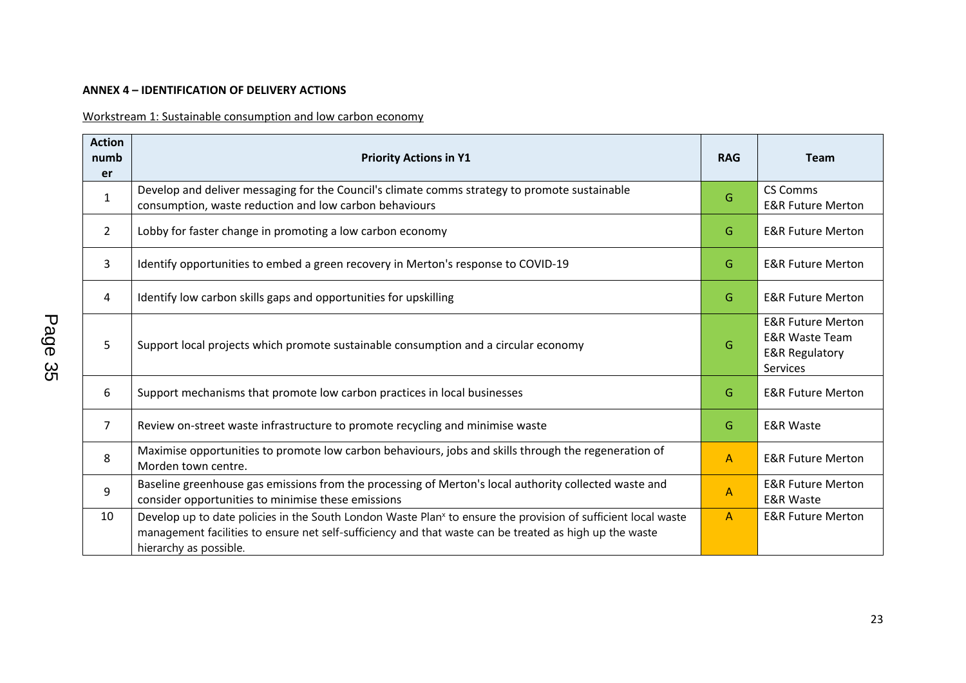# **ANNEX 4 – IDENTIFICATION OF DELIVERY ACTIONS**

Workstream 1: Sustainable consumption and low carbon economy

| <b>Action</b><br>numb<br>er | <b>Priority Actions in Y1</b>                                                                                                                                                                                                                                  | <b>RAG</b>     | <b>Team</b>                                                                                               |
|-----------------------------|----------------------------------------------------------------------------------------------------------------------------------------------------------------------------------------------------------------------------------------------------------------|----------------|-----------------------------------------------------------------------------------------------------------|
| $\mathbf{1}$                | Develop and deliver messaging for the Council's climate comms strategy to promote sustainable<br>consumption, waste reduction and low carbon behaviours                                                                                                        | G              | <b>CS Comms</b><br><b>E&amp;R Future Merton</b>                                                           |
| $\overline{2}$              | Lobby for faster change in promoting a low carbon economy                                                                                                                                                                                                      | G              | <b>E&amp;R Future Merton</b>                                                                              |
| 3                           | Identify opportunities to embed a green recovery in Merton's response to COVID-19                                                                                                                                                                              | G              | <b>E&amp;R Future Merton</b>                                                                              |
| 4                           | Identify low carbon skills gaps and opportunities for upskilling                                                                                                                                                                                               | G              | <b>E&amp;R Future Merton</b>                                                                              |
| 5                           | Support local projects which promote sustainable consumption and a circular economy                                                                                                                                                                            | G              | <b>E&amp;R Future Merton</b><br><b>E&amp;R Waste Team</b><br><b>E&amp;R Regulatory</b><br><b>Services</b> |
| 6                           | Support mechanisms that promote low carbon practices in local businesses                                                                                                                                                                                       | G              | <b>E&amp;R Future Merton</b>                                                                              |
| $\overline{7}$              | Review on-street waste infrastructure to promote recycling and minimise waste                                                                                                                                                                                  | G              | <b>E&amp;R Waste</b>                                                                                      |
| 8                           | Maximise opportunities to promote low carbon behaviours, jobs and skills through the regeneration of<br>Morden town centre.                                                                                                                                    | $\overline{A}$ | <b>E&amp;R Future Merton</b>                                                                              |
| 9                           | Baseline greenhouse gas emissions from the processing of Merton's local authority collected waste and<br>consider opportunities to minimise these emissions                                                                                                    | $\overline{A}$ | <b>E&amp;R Future Merton</b><br><b>E&amp;R Waste</b>                                                      |
| 10                          | Develop up to date policies in the South London Waste Plan <sup>x</sup> to ensure the provision of sufficient local waste<br>management facilities to ensure net self-sufficiency and that waste can be treated as high up the waste<br>hierarchy as possible. | $\mathsf{A}$   | <b>E&amp;R Future Merton</b>                                                                              |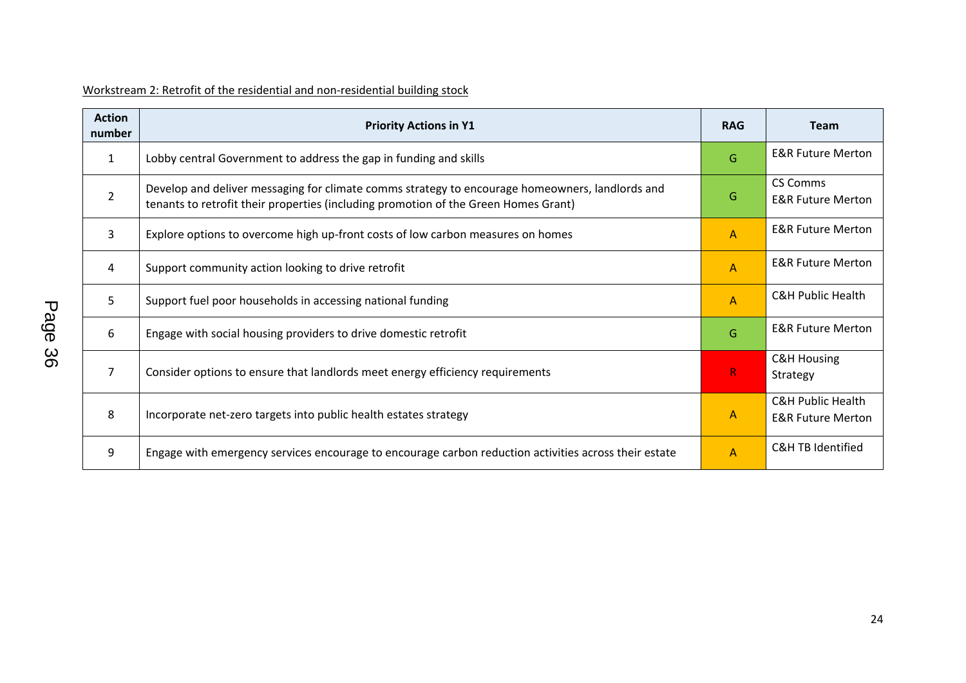| Workstream 2: Retrofit of the residential and non-residential building stock |  |
|------------------------------------------------------------------------------|--|
|------------------------------------------------------------------------------|--|

| <b>Action</b><br>number | <b>Priority Actions in Y1</b>                                                                                                                                                          | <b>RAG</b>     | <b>Team</b>                                                  |
|-------------------------|----------------------------------------------------------------------------------------------------------------------------------------------------------------------------------------|----------------|--------------------------------------------------------------|
| 1                       | Lobby central Government to address the gap in funding and skills                                                                                                                      | G              | <b>E&amp;R Future Merton</b>                                 |
| $\overline{2}$          | Develop and deliver messaging for climate comms strategy to encourage homeowners, landlords and<br>tenants to retrofit their properties (including promotion of the Green Homes Grant) | G              | <b>CS Comms</b><br><b>E&amp;R Future Merton</b>              |
| 3                       | Explore options to overcome high up-front costs of low carbon measures on homes                                                                                                        | A              | <b>E&amp;R Future Merton</b>                                 |
| 4                       | Support community action looking to drive retrofit                                                                                                                                     | $\overline{A}$ | <b>E&amp;R Future Merton</b>                                 |
| 5                       | Support fuel poor households in accessing national funding                                                                                                                             | A              | <b>C&amp;H Public Health</b>                                 |
| 6                       | Engage with social housing providers to drive domestic retrofit                                                                                                                        | G              | <b>E&amp;R Future Merton</b>                                 |
| 7                       | Consider options to ensure that landlords meet energy efficiency requirements                                                                                                          | R              | <b>C&amp;H Housing</b><br>Strategy                           |
| 8                       | Incorporate net-zero targets into public health estates strategy                                                                                                                       | A              | <b>C&amp;H Public Health</b><br><b>E&amp;R Future Merton</b> |
| 9                       | Engage with emergency services encourage to encourage carbon reduction activities across their estate                                                                                  | A              | <b>C&amp;H TB Identified</b>                                 |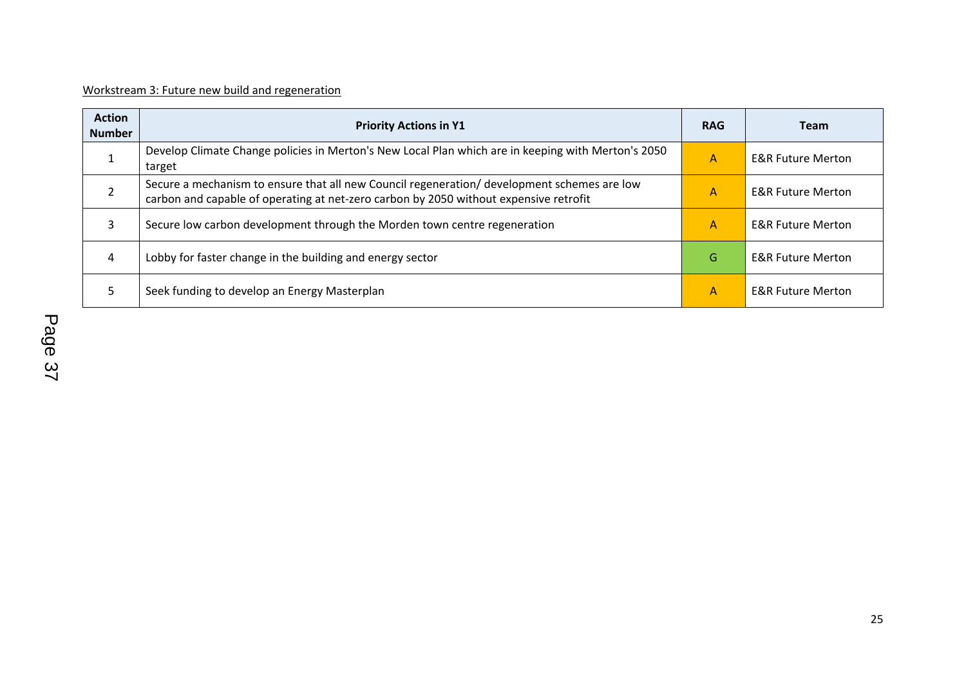| Workstream 3: Future new build and regeneration |
|-------------------------------------------------|
|-------------------------------------------------|

| <b>Action</b><br><b>Number</b> | <b>Priority Actions in Y1</b>                                                                                                                                                        | <b>RAG</b> | <b>Team</b>                  |
|--------------------------------|--------------------------------------------------------------------------------------------------------------------------------------------------------------------------------------|------------|------------------------------|
|                                | Develop Climate Change policies in Merton's New Local Plan which are in keeping with Merton's 2050<br>target                                                                         | A          | <b>E&amp;R Future Merton</b> |
|                                | Secure a mechanism to ensure that all new Council regeneration/ development schemes are low<br>carbon and capable of operating at net-zero carbon by 2050 without expensive retrofit | A          | <b>E&amp;R Future Merton</b> |
|                                | Secure low carbon development through the Morden town centre regeneration                                                                                                            | A          | <b>E&amp;R Future Merton</b> |
| 4                              | Lobby for faster change in the building and energy sector                                                                                                                            | G          | <b>E&amp;R Future Merton</b> |
|                                | Seek funding to develop an Energy Masterplan                                                                                                                                         | A          | <b>E&amp;R Future Merton</b> |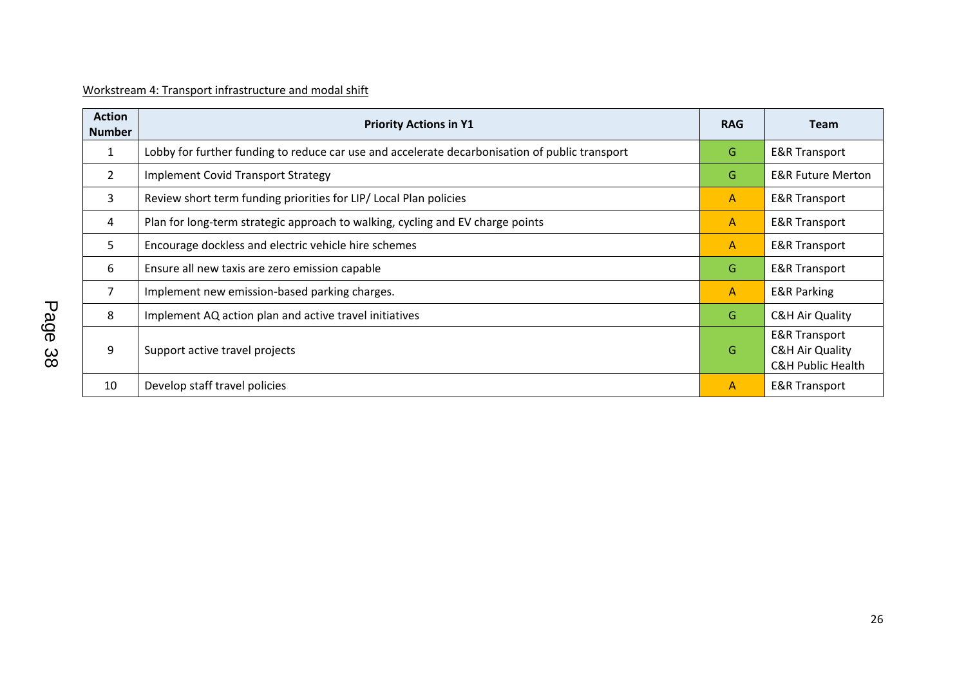| Workstream 4: Transport infrastructure and modal shift |  |
|--------------------------------------------------------|--|
|                                                        |  |

| <b>Action</b><br><b>Number</b> | <b>Priority Actions in Y1</b>                                                                  | <b>RAG</b>     | <b>Team</b>                                                                            |
|--------------------------------|------------------------------------------------------------------------------------------------|----------------|----------------------------------------------------------------------------------------|
| $\mathbf{1}$                   | Lobby for further funding to reduce car use and accelerate decarbonisation of public transport | G              | <b>E&amp;R Transport</b>                                                               |
| $\overline{2}$                 | <b>Implement Covid Transport Strategy</b>                                                      | G              | <b>E&amp;R Future Merton</b>                                                           |
| 3                              | Review short term funding priorities for LIP/ Local Plan policies                              | A              | <b>E&amp;R Transport</b>                                                               |
| 4                              | Plan for long-term strategic approach to walking, cycling and EV charge points                 | $\mathsf{A}$   | <b>E&amp;R Transport</b>                                                               |
| 5                              | Encourage dockless and electric vehicle hire schemes                                           | $\mathsf{A}$   | <b>E&amp;R Transport</b>                                                               |
| 6                              | Ensure all new taxis are zero emission capable                                                 | G              | <b>E&amp;R Transport</b>                                                               |
| 7                              | Implement new emission-based parking charges.                                                  | $\mathsf{A}$   | <b>E&amp;R Parking</b>                                                                 |
| 8                              | Implement AQ action plan and active travel initiatives                                         | G              | <b>C&amp;H Air Quality</b>                                                             |
| 9                              | Support active travel projects                                                                 | G              | <b>E&amp;R Transport</b><br><b>C&amp;H Air Quality</b><br><b>C&amp;H Public Health</b> |
| 10                             | Develop staff travel policies                                                                  | $\overline{A}$ | <b>E&amp;R Transport</b>                                                               |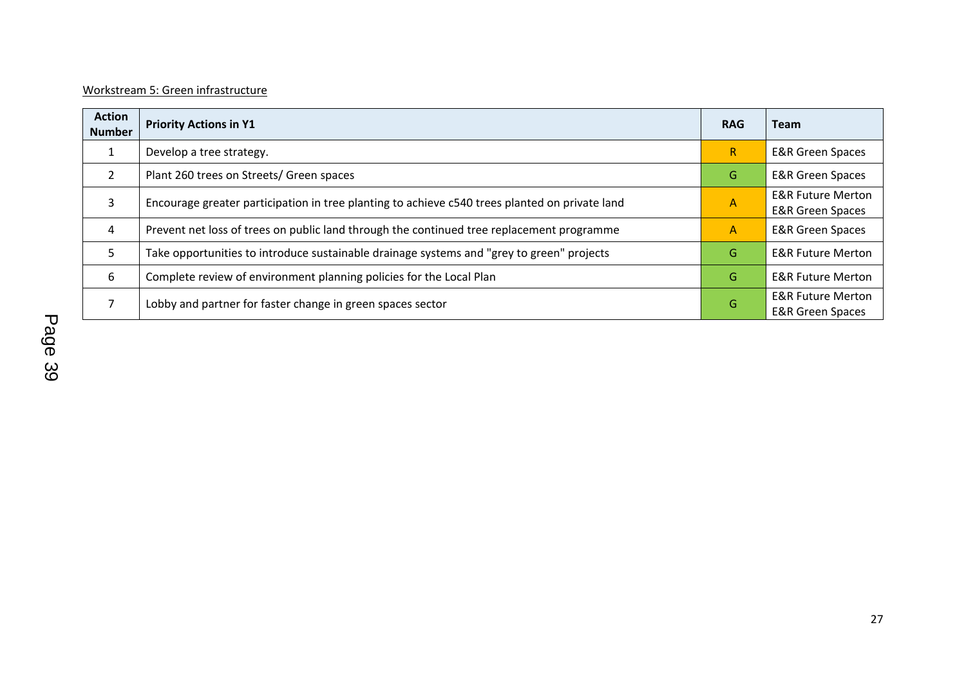# Workstream 5: Green infrastructure

| <b>Action</b><br><b>Number</b> | <b>Priority Actions in Y1</b>                                                                  | <b>RAG</b>              | <b>Team</b>                                                 |
|--------------------------------|------------------------------------------------------------------------------------------------|-------------------------|-------------------------------------------------------------|
|                                | Develop a tree strategy.                                                                       | $\mathsf{R}$            | <b>E&amp;R Green Spaces</b>                                 |
| $\overline{2}$                 | Plant 260 trees on Streets/ Green spaces                                                       | G                       | <b>E&amp;R Green Spaces</b>                                 |
| 3                              | Encourage greater participation in tree planting to achieve c540 trees planted on private land | $\overline{\mathsf{A}}$ | <b>E&amp;R Future Merton</b><br><b>E&amp;R Green Spaces</b> |
| 4                              | Prevent net loss of trees on public land through the continued tree replacement programme      | A                       | <b>E&amp;R Green Spaces</b>                                 |
| 5.                             | Take opportunities to introduce sustainable drainage systems and "grey to green" projects      | G                       | <b>E&amp;R Future Merton</b>                                |
| 6                              | Complete review of environment planning policies for the Local Plan                            | G                       | <b>E&amp;R Future Merton</b>                                |
|                                | Lobby and partner for faster change in green spaces sector                                     | G                       | <b>E&amp;R Future Merton</b><br><b>E&amp;R Green Spaces</b> |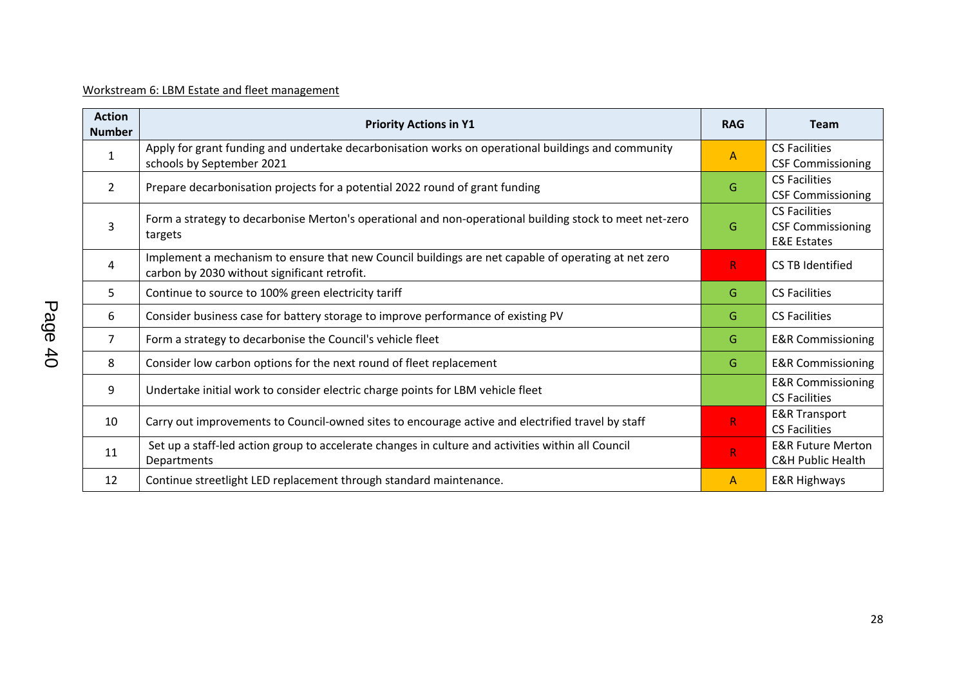# Workstream 6: LBM Estate and fleet management

| <b>Action</b><br><b>Number</b> | <b>Priority Actions in Y1</b>                                                                                                                       | <b>RAG</b>   | <b>Team</b>                                                                |
|--------------------------------|-----------------------------------------------------------------------------------------------------------------------------------------------------|--------------|----------------------------------------------------------------------------|
| $\mathbf{1}$                   | Apply for grant funding and undertake decarbonisation works on operational buildings and community<br>schools by September 2021                     | $\bigwedge$  | <b>CS Facilities</b><br><b>CSF Commissioning</b>                           |
| $\overline{2}$                 | Prepare decarbonisation projects for a potential 2022 round of grant funding                                                                        | G            | <b>CS Facilities</b><br><b>CSF Commissioning</b>                           |
| 3                              | Form a strategy to decarbonise Merton's operational and non-operational building stock to meet net-zero<br>targets                                  | G            | <b>CS Facilities</b><br><b>CSF Commissioning</b><br><b>E&amp;E Estates</b> |
| 4                              | Implement a mechanism to ensure that new Council buildings are net capable of operating at net zero<br>carbon by 2030 without significant retrofit. | $\mathsf{R}$ | <b>CS TB Identified</b>                                                    |
| 5                              | Continue to source to 100% green electricity tariff                                                                                                 | G            | <b>CS Facilities</b>                                                       |
| 6                              | Consider business case for battery storage to improve performance of existing PV                                                                    | G            | <b>CS Facilities</b>                                                       |
| $\overline{7}$                 | Form a strategy to decarbonise the Council's vehicle fleet                                                                                          | G            | <b>E&amp;R Commissioning</b>                                               |
| 8                              | Consider low carbon options for the next round of fleet replacement                                                                                 | G            | <b>E&amp;R Commissioning</b>                                               |
| 9                              | Undertake initial work to consider electric charge points for LBM vehicle fleet                                                                     |              | <b>E&amp;R Commissioning</b><br><b>CS Facilities</b>                       |
| 10                             | Carry out improvements to Council-owned sites to encourage active and electrified travel by staff                                                   | $\mathsf{R}$ | <b>E&amp;R Transport</b><br><b>CS Facilities</b>                           |
| 11                             | Set up a staff-led action group to accelerate changes in culture and activities within all Council<br>Departments                                   | $\mathsf{R}$ | <b>E&amp;R Future Merton</b><br><b>C&amp;H Public Health</b>               |
| 12                             | Continue streetlight LED replacement through standard maintenance.                                                                                  | A            | E&R Highways                                                               |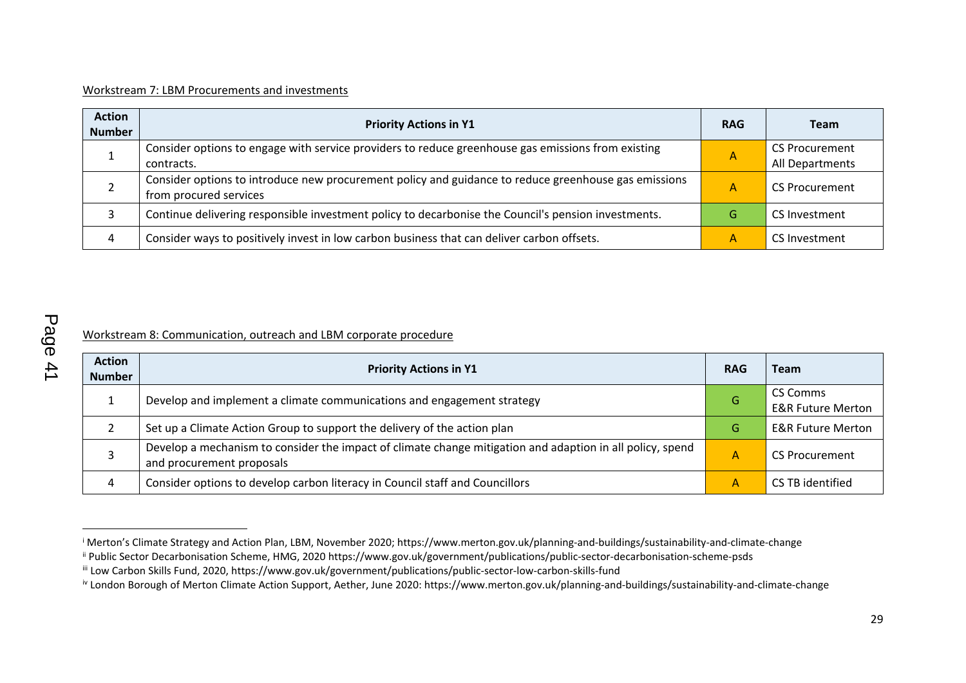#### Workstream 7: LBM Procurements and investments

| <b>Action</b><br><b>Number</b> | <b>Priority Actions in Y1</b>                                                                                                  | <b>RAG</b>     | <b>Team</b>                              |
|--------------------------------|--------------------------------------------------------------------------------------------------------------------------------|----------------|------------------------------------------|
|                                | Consider options to engage with service providers to reduce greenhouse gas emissions from existing<br>contracts.               | $\overline{A}$ | <b>CS Procurement</b><br>All Departments |
|                                | Consider options to introduce new procurement policy and guidance to reduce greenhouse gas emissions<br>from procured services | A              | <b>CS Procurement</b>                    |
|                                | Continue delivering responsible investment policy to decarbonise the Council's pension investments.                            | G              | CS Investment                            |
| 4                              | Consider ways to positively invest in low carbon business that can deliver carbon offsets.                                     | A              | CS Investment                            |

# Workstream 8: Communication, outreach and LBM corporate procedure

| <b>Action</b><br><b>Number</b> | <b>Priority Actions in Y1</b>                                                                                                          | <b>RAG</b> | Team                                     |
|--------------------------------|----------------------------------------------------------------------------------------------------------------------------------------|------------|------------------------------------------|
|                                | Develop and implement a climate communications and engagement strategy                                                                 | G          | CS Comms<br><b>E&amp;R Future Merton</b> |
|                                | Set up a Climate Action Group to support the delivery of the action plan                                                               | G          | <b>E&amp;R Future Merton</b>             |
|                                | Develop a mechanism to consider the impact of climate change mitigation and adaption in all policy, spend<br>and procurement proposals |            | <b>CS Procurement</b>                    |
| 4                              | Consider options to develop carbon literacy in Council staff and Councillors                                                           | А          | CS TB identified                         |

<sup>i</sup> Merton's Climate Strategy and Action Plan, LBM, November 2020; https://www.merton.gov.uk/planning-and-buildings/sustainability-and-climate-change

ii Public Sector Decarbonisation Scheme, HMG, 2020 https://www.gov.uk/government/publications/public-sector-decarbonisation-scheme-psds

iii Low Carbon Skills Fund, 2020, https://www.gov.uk/government/publications/public-sector-low-carbon-skills-fund

<sup>&</sup>lt;sup>iv</sup> London Borough of Merton Climate Action Support, Aether, June 2020: https://www.merton.gov.uk/planning-and-buildings/sustainability-and-climate-change